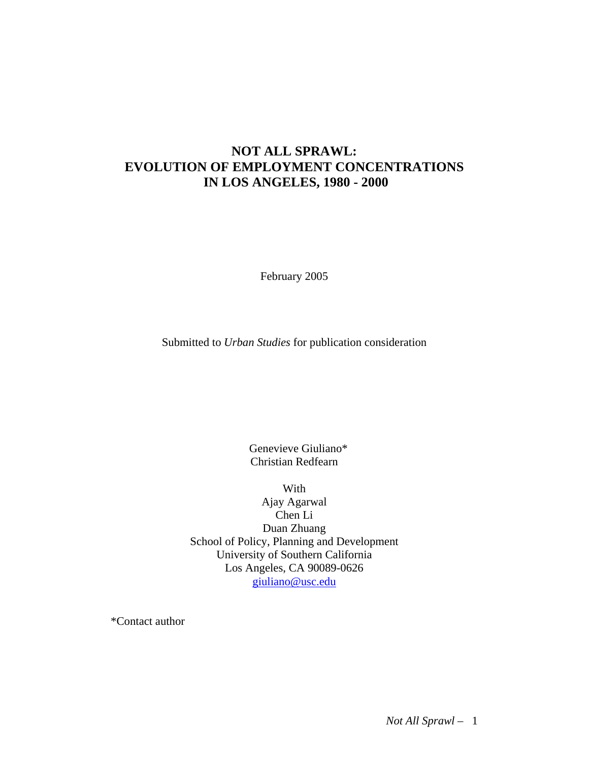### **NOT ALL SPRAWL: EVOLUTION OF EMPLOYMENT CONCENTRATIONS IN LOS ANGELES, 1980 - 2000**

February 2005

Submitted to *Urban Studies* for publication consideration

Genevieve Giuliano\* Christian Redfearn

With

Ajay Agarwal Chen Li Duan Zhuang School of Policy, Planning and Development University of Southern California Los Angeles, CA 90089-0626 giuliano@usc.edu

\*Contact author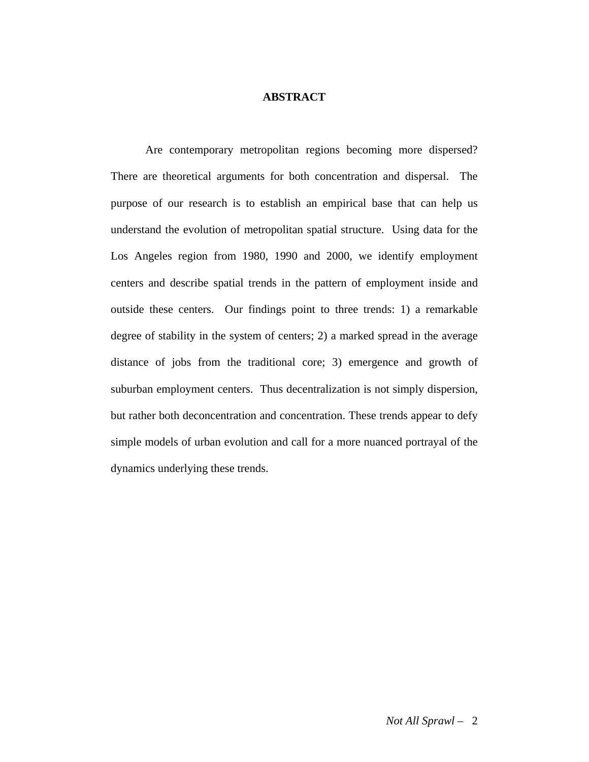#### **ABSTRACT**

 Are contemporary metropolitan regions becoming more dispersed? There are theoretical arguments for both concentration and dispersal. The purpose of our research is to establish an empirical base that can help us understand the evolution of metropolitan spatial structure. Using data for the Los Angeles region from 1980, 1990 and 2000, we identify employment centers and describe spatial trends in the pattern of employment inside and outside these centers. Our findings point to three trends: 1) a remarkable degree of stability in the system of centers; 2) a marked spread in the average distance of jobs from the traditional core; 3) emergence and growth of suburban employment centers. Thus decentralization is not simply dispersion, but rather both deconcentration and concentration. These trends appear to defy simple models of urban evolution and call for a more nuanced portrayal of the dynamics underlying these trends.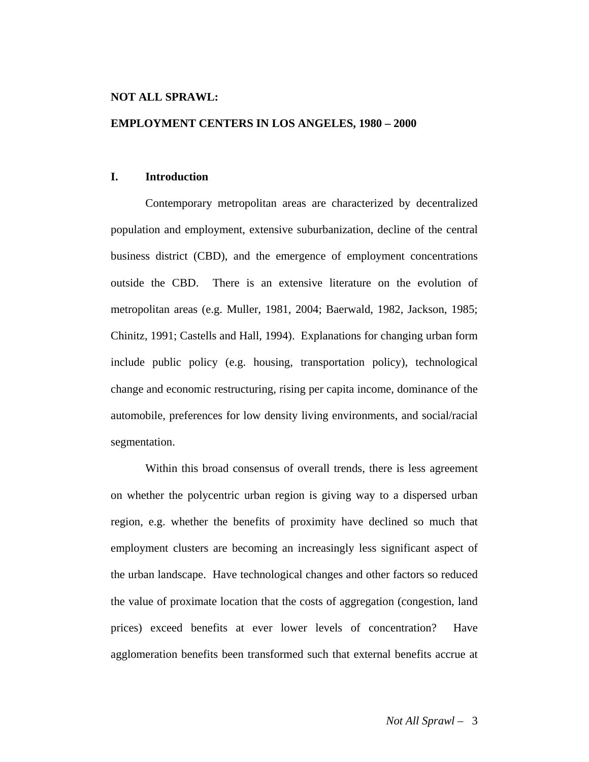#### **NOT ALL SPRAWL:**

#### **EMPLOYMENT CENTERS IN LOS ANGELES, 1980 – 2000**

#### **I. Introduction**

 Contemporary metropolitan areas are characterized by decentralized population and employment, extensive suburbanization, decline of the central business district (CBD), and the emergence of employment concentrations outside the CBD. There is an extensive literature on the evolution of metropolitan areas (e.g. Muller, 1981, 2004; Baerwald, 1982, Jackson, 1985; Chinitz, 1991; Castells and Hall, 1994). Explanations for changing urban form include public policy (e.g. housing, transportation policy), technological change and economic restructuring, rising per capita income, dominance of the automobile, preferences for low density living environments, and social/racial segmentation.

 Within this broad consensus of overall trends, there is less agreement on whether the polycentric urban region is giving way to a dispersed urban region, e.g. whether the benefits of proximity have declined so much that employment clusters are becoming an increasingly less significant aspect of the urban landscape. Have technological changes and other factors so reduced the value of proximate location that the costs of aggregation (congestion, land prices) exceed benefits at ever lower levels of concentration? Have agglomeration benefits been transformed such that external benefits accrue at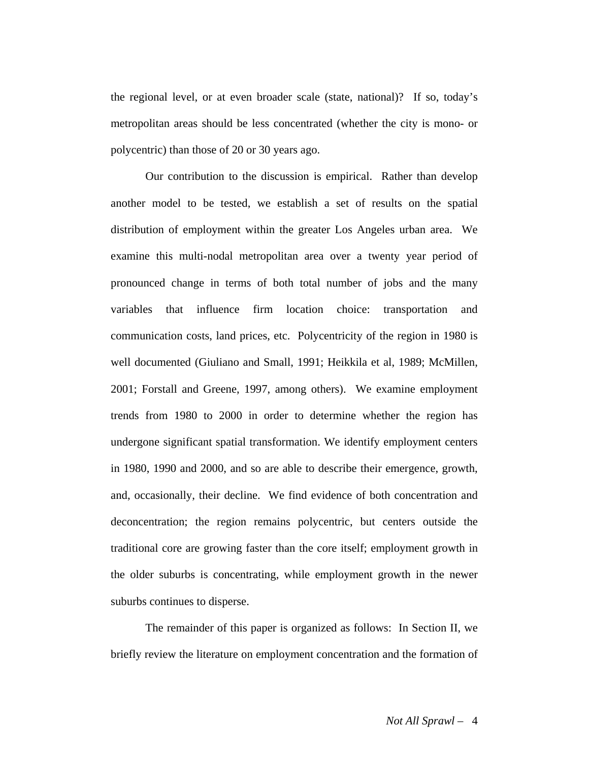the regional level, or at even broader scale (state, national)? If so, today's metropolitan areas should be less concentrated (whether the city is mono- or polycentric) than those of 20 or 30 years ago.

 Our contribution to the discussion is empirical. Rather than develop another model to be tested, we establish a set of results on the spatial distribution of employment within the greater Los Angeles urban area. We examine this multi-nodal metropolitan area over a twenty year period of pronounced change in terms of both total number of jobs and the many variables that influence firm location choice: transportation and communication costs, land prices, etc. Polycentricity of the region in 1980 is well documented (Giuliano and Small, 1991; Heikkila et al, 1989; McMillen, 2001; Forstall and Greene, 1997, among others). We examine employment trends from 1980 to 2000 in order to determine whether the region has undergone significant spatial transformation. We identify employment centers in 1980, 1990 and 2000, and so are able to describe their emergence, growth, and, occasionally, their decline. We find evidence of both concentration and deconcentration; the region remains polycentric, but centers outside the traditional core are growing faster than the core itself; employment growth in the older suburbs is concentrating, while employment growth in the newer suburbs continues to disperse.

 The remainder of this paper is organized as follows: In Section II, we briefly review the literature on employment concentration and the formation of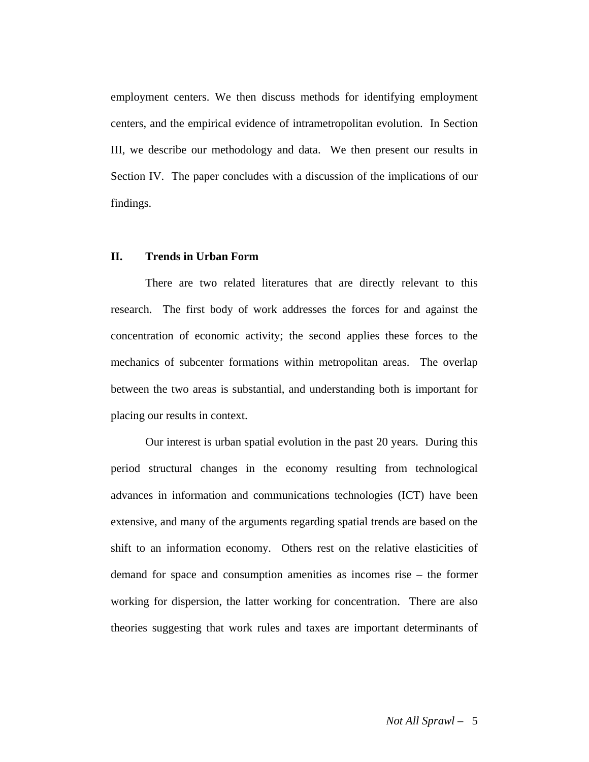employment centers. We then discuss methods for identifying employment centers, and the empirical evidence of intrametropolitan evolution. In Section III, we describe our methodology and data. We then present our results in Section IV. The paper concludes with a discussion of the implications of our findings.

#### **II. Trends in Urban Form**

There are two related literatures that are directly relevant to this research. The first body of work addresses the forces for and against the concentration of economic activity; the second applies these forces to the mechanics of subcenter formations within metropolitan areas. The overlap between the two areas is substantial, and understanding both is important for placing our results in context.

Our interest is urban spatial evolution in the past 20 years. During this period structural changes in the economy resulting from technological advances in information and communications technologies (ICT) have been extensive, and many of the arguments regarding spatial trends are based on the shift to an information economy. Others rest on the relative elasticities of demand for space and consumption amenities as incomes rise – the former working for dispersion, the latter working for concentration. There are also theories suggesting that work rules and taxes are important determinants of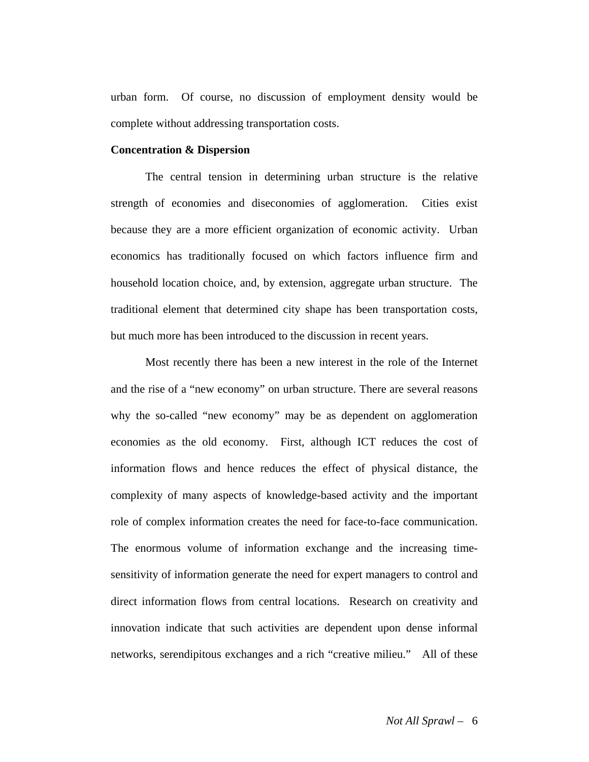urban form. Of course, no discussion of employment density would be complete without addressing transportation costs.

#### **Concentration & Dispersion**

The central tension in determining urban structure is the relative strength of economies and diseconomies of agglomeration. Cities exist because they are a more efficient organization of economic activity. Urban economics has traditionally focused on which factors influence firm and household location choice, and, by extension, aggregate urban structure. The traditional element that determined city shape has been transportation costs, but much more has been introduced to the discussion in recent years.

Most recently there has been a new interest in the role of the Internet and the rise of a "new economy" on urban structure. There are several reasons why the so-called "new economy" may be as dependent on agglomeration economies as the old economy. First, although ICT reduces the cost of information flows and hence reduces the effect of physical distance, the complexity of many aspects of knowledge-based activity and the important role of complex information creates the need for face-to-face communication. The enormous volume of information exchange and the increasing timesensitivity of information generate the need for expert managers to control and direct information flows from central locations. Research on creativity and innovation indicate that such activities are dependent upon dense informal networks, serendipitous exchanges and a rich "creative milieu." All of these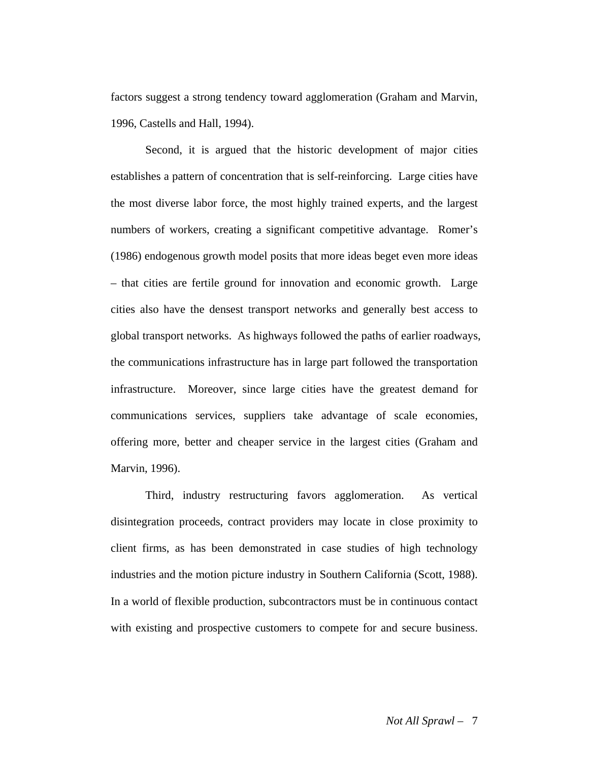factors suggest a strong tendency toward agglomeration (Graham and Marvin, 1996, Castells and Hall, 1994).

 Second, it is argued that the historic development of major cities establishes a pattern of concentration that is self-reinforcing. Large cities have the most diverse labor force, the most highly trained experts, and the largest numbers of workers, creating a significant competitive advantage. Romer's (1986) endogenous growth model posits that more ideas beget even more ideas – that cities are fertile ground for innovation and economic growth. Large cities also have the densest transport networks and generally best access to global transport networks. As highways followed the paths of earlier roadways, the communications infrastructure has in large part followed the transportation infrastructure. Moreover, since large cities have the greatest demand for communications services, suppliers take advantage of scale economies, offering more, better and cheaper service in the largest cities (Graham and Marvin, 1996).

Third, industry restructuring favors agglomeration. As vertical disintegration proceeds, contract providers may locate in close proximity to client firms, as has been demonstrated in case studies of high technology industries and the motion picture industry in Southern California (Scott, 1988). In a world of flexible production, subcontractors must be in continuous contact with existing and prospective customers to compete for and secure business.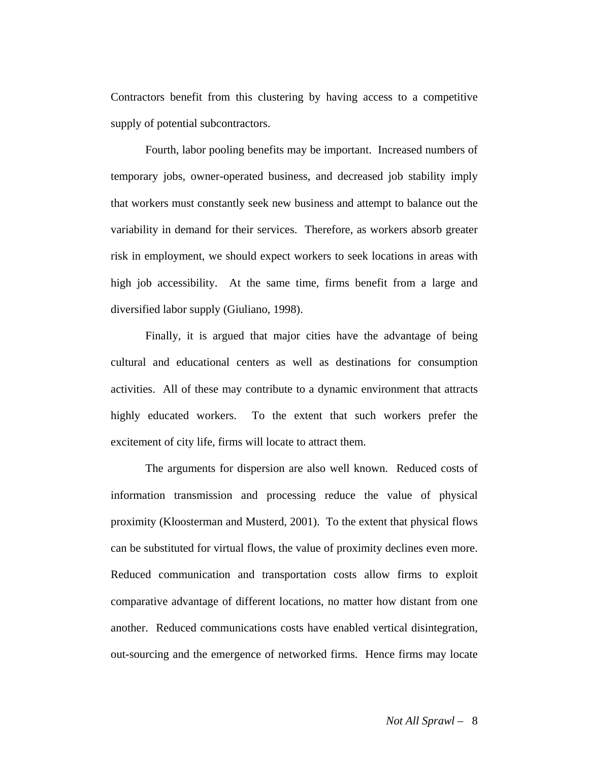Contractors benefit from this clustering by having access to a competitive supply of potential subcontractors.

Fourth, labor pooling benefits may be important. Increased numbers of temporary jobs, owner-operated business, and decreased job stability imply that workers must constantly seek new business and attempt to balance out the variability in demand for their services. Therefore, as workers absorb greater risk in employment, we should expect workers to seek locations in areas with high job accessibility. At the same time, firms benefit from a large and diversified labor supply (Giuliano, 1998).

 Finally, it is argued that major cities have the advantage of being cultural and educational centers as well as destinations for consumption activities. All of these may contribute to a dynamic environment that attracts highly educated workers. To the extent that such workers prefer the excitement of city life, firms will locate to attract them.

The arguments for dispersion are also well known. Reduced costs of information transmission and processing reduce the value of physical proximity (Kloosterman and Musterd, 2001). To the extent that physical flows can be substituted for virtual flows, the value of proximity declines even more. Reduced communication and transportation costs allow firms to exploit comparative advantage of different locations, no matter how distant from one another. Reduced communications costs have enabled vertical disintegration, out-sourcing and the emergence of networked firms. Hence firms may locate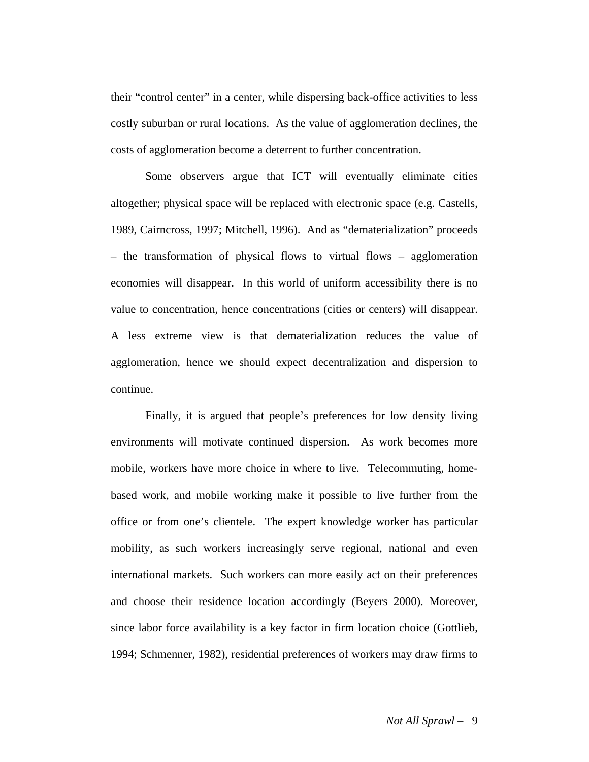their "control center" in a center, while dispersing back-office activities to less costly suburban or rural locations. As the value of agglomeration declines, the costs of agglomeration become a deterrent to further concentration.

 Some observers argue that ICT will eventually eliminate cities altogether; physical space will be replaced with electronic space (e.g. Castells, 1989, Cairncross, 1997; Mitchell, 1996). And as "dematerialization" proceeds – the transformation of physical flows to virtual flows – agglomeration economies will disappear. In this world of uniform accessibility there is no value to concentration, hence concentrations (cities or centers) will disappear. A less extreme view is that dematerialization reduces the value of agglomeration, hence we should expect decentralization and dispersion to continue.

 Finally, it is argued that people's preferences for low density living environments will motivate continued dispersion. As work becomes more mobile, workers have more choice in where to live. Telecommuting, homebased work, and mobile working make it possible to live further from the office or from one's clientele. The expert knowledge worker has particular mobility, as such workers increasingly serve regional, national and even international markets. Such workers can more easily act on their preferences and choose their residence location accordingly (Beyers 2000). Moreover, since labor force availability is a key factor in firm location choice (Gottlieb, 1994; Schmenner, 1982), residential preferences of workers may draw firms to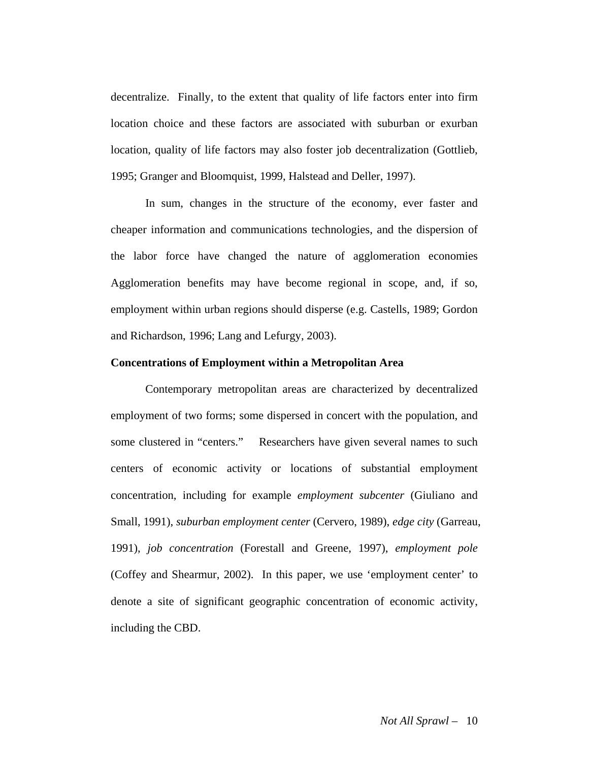decentralize. Finally, to the extent that quality of life factors enter into firm location choice and these factors are associated with suburban or exurban location, quality of life factors may also foster job decentralization (Gottlieb, 1995; Granger and Bloomquist, 1999, Halstead and Deller, 1997).

In sum, changes in the structure of the economy, ever faster and cheaper information and communications technologies, and the dispersion of the labor force have changed the nature of agglomeration economies Agglomeration benefits may have become regional in scope, and, if so, employment within urban regions should disperse (e.g. Castells, 1989; Gordon and Richardson, 1996; Lang and Lefurgy, 2003).

#### **Concentrations of Employment within a Metropolitan Area**

Contemporary metropolitan areas are characterized by decentralized employment of two forms; some dispersed in concert with the population, and some clustered in "centers." Researchers have given several names to such centers of economic activity or locations of substantial employment concentration, including for example *employment subcenter* (Giuliano and Small, 1991), *suburban employment center* (Cervero, 1989), *edge city* (Garreau, 1991), *job concentration* (Forestall and Greene, 1997), *employment pole* (Coffey and Shearmur, 2002). In this paper, we use 'employment center' to denote a site of significant geographic concentration of economic activity, including the CBD.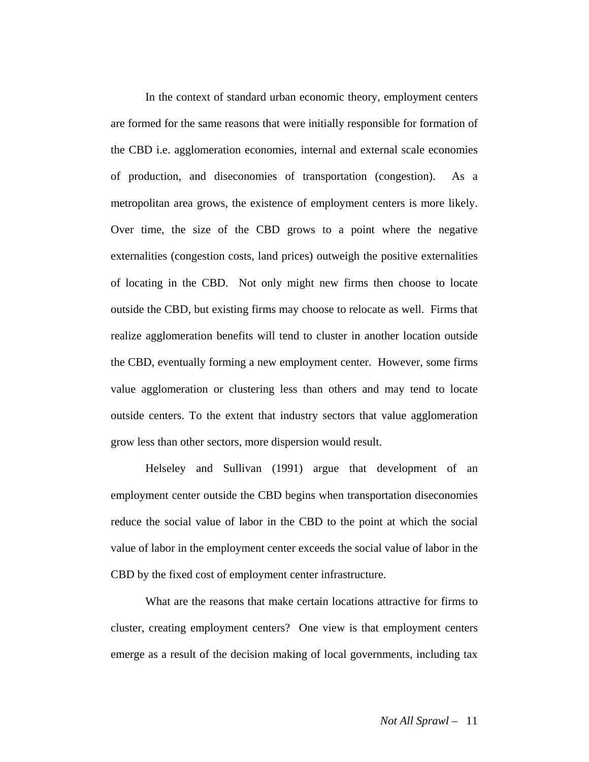In the context of standard urban economic theory, employment centers are formed for the same reasons that were initially responsible for formation of the CBD i.e. agglomeration economies, internal and external scale economies of production, and diseconomies of transportation (congestion). As a metropolitan area grows, the existence of employment centers is more likely. Over time, the size of the CBD grows to a point where the negative externalities (congestion costs, land prices) outweigh the positive externalities of locating in the CBD. Not only might new firms then choose to locate outside the CBD, but existing firms may choose to relocate as well. Firms that realize agglomeration benefits will tend to cluster in another location outside the CBD, eventually forming a new employment center. However, some firms value agglomeration or clustering less than others and may tend to locate outside centers. To the extent that industry sectors that value agglomeration grow less than other sectors, more dispersion would result.

Helseley and Sullivan (1991) argue that development of an employment center outside the CBD begins when transportation diseconomies reduce the social value of labor in the CBD to the point at which the social value of labor in the employment center exceeds the social value of labor in the CBD by the fixed cost of employment center infrastructure.

What are the reasons that make certain locations attractive for firms to cluster, creating employment centers? One view is that employment centers emerge as a result of the decision making of local governments, including tax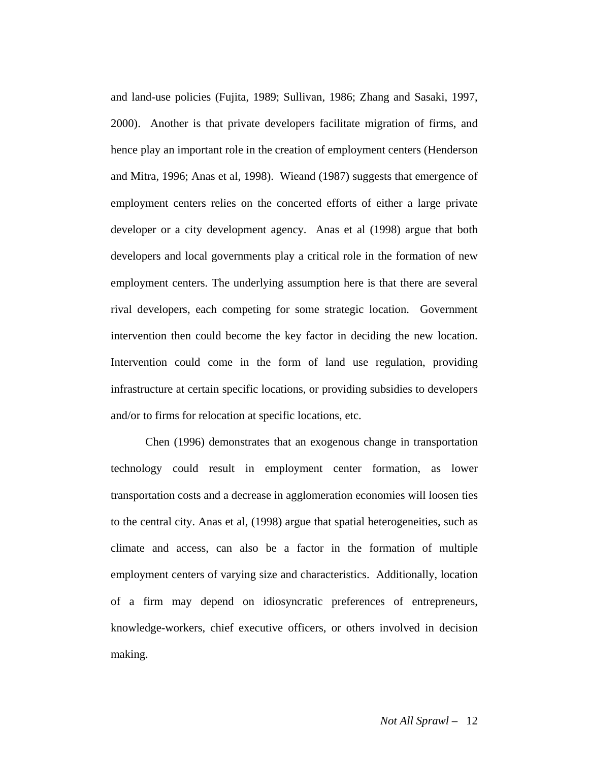and land-use policies (Fujita, 1989; Sullivan, 1986; Zhang and Sasaki, 1997, 2000). Another is that private developers facilitate migration of firms, and hence play an important role in the creation of employment centers (Henderson and Mitra, 1996; Anas et al, 1998). Wieand (1987) suggests that emergence of employment centers relies on the concerted efforts of either a large private developer or a city development agency. Anas et al (1998) argue that both developers and local governments play a critical role in the formation of new employment centers. The underlying assumption here is that there are several rival developers, each competing for some strategic location. Government intervention then could become the key factor in deciding the new location. Intervention could come in the form of land use regulation, providing infrastructure at certain specific locations, or providing subsidies to developers and/or to firms for relocation at specific locations, etc.

Chen (1996) demonstrates that an exogenous change in transportation technology could result in employment center formation, as lower transportation costs and a decrease in agglomeration economies will loosen ties to the central city. Anas et al, (1998) argue that spatial heterogeneities, such as climate and access, can also be a factor in the formation of multiple employment centers of varying size and characteristics. Additionally, location of a firm may depend on idiosyncratic preferences of entrepreneurs, knowledge-workers, chief executive officers, or others involved in decision making.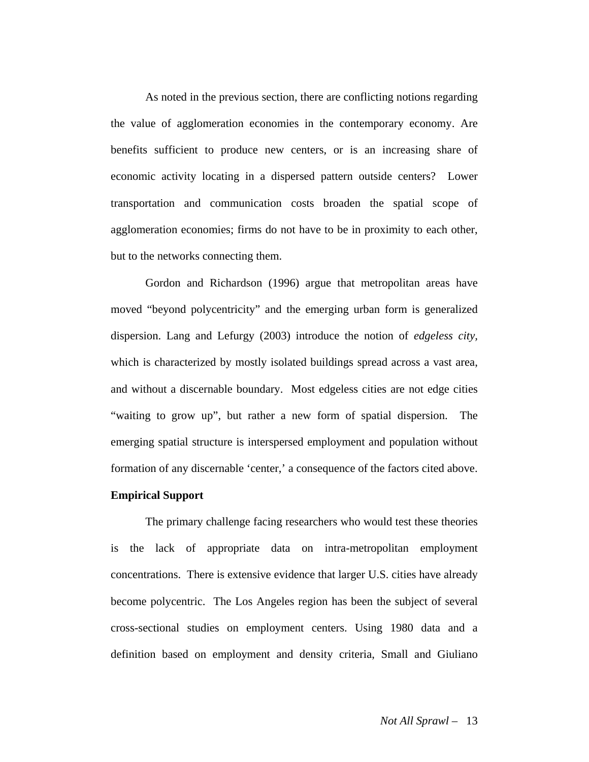As noted in the previous section, there are conflicting notions regarding the value of agglomeration economies in the contemporary economy. Are benefits sufficient to produce new centers, or is an increasing share of economic activity locating in a dispersed pattern outside centers? Lower transportation and communication costs broaden the spatial scope of agglomeration economies; firms do not have to be in proximity to each other, but to the networks connecting them.

Gordon and Richardson (1996) argue that metropolitan areas have moved "beyond polycentricity" and the emerging urban form is generalized dispersion. Lang and Lefurgy (2003) introduce the notion of *edgeless city,* which is characterized by mostly isolated buildings spread across a vast area, and without a discernable boundary. Most edgeless cities are not edge cities "waiting to grow up", but rather a new form of spatial dispersion. The emerging spatial structure is interspersed employment and population without formation of any discernable 'center,' a consequence of the factors cited above.

#### **Empirical Support**

The primary challenge facing researchers who would test these theories is the lack of appropriate data on intra-metropolitan employment concentrations. There is extensive evidence that larger U.S. cities have already become polycentric. The Los Angeles region has been the subject of several cross-sectional studies on employment centers. Using 1980 data and a definition based on employment and density criteria, Small and Giuliano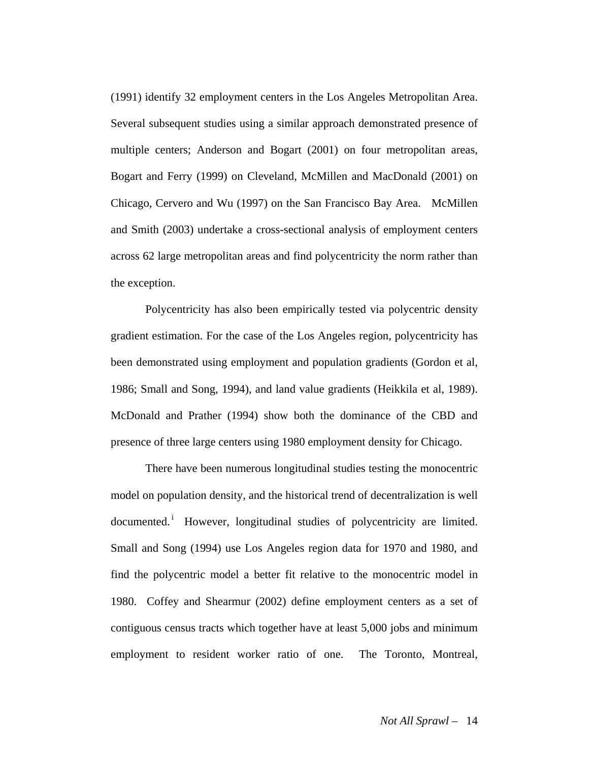(1991) identify 32 employment centers in the Los Angeles Metropolitan Area. Several subsequent studies using a similar approach demonstrated presence of multiple centers; Anderson and Bogart (2001) on four metropolitan areas, Bogart and Ferry (1999) on Cleveland, McMillen and MacDonald (2001) on Chicago, Cervero and Wu (1997) on the San Francisco Bay Area. McMillen and Smith (2003) undertake a cross-sectional analysis of employment centers across 62 large metropolitan areas and find polycentricity the norm rather than the exception.

 Polycentricity has also been empirically tested via polycentric density gradient estimation. For the case of the Los Angeles region, polycentricity has been demonstrated using employment and population gradients (Gordon et al, 1986; Small and Song, 1994), and land value gradients (Heikkila et al, 1989). McDonald and Prather (1994) show both the dominance of the CBD and presence of three large centers using 1980 employment density for Chicago.

There have been numerous longitudinal studies testing the monocentric model on population density, and the historical trend of decentralization is well documented.<sup>i</sup> However, longitudinal studies of polycentricity are limited. Small and Song (1994) use Los Angeles region data for 1970 and 1980, and find the polycentric model a better fit relative to the monocentric model in 1980. Coffey and Shearmur (2002) define employment centers as a set of contiguous census tracts which together have at least 5,000 jobs and minimum employment to resident worker ratio of one. The Toronto, Montreal,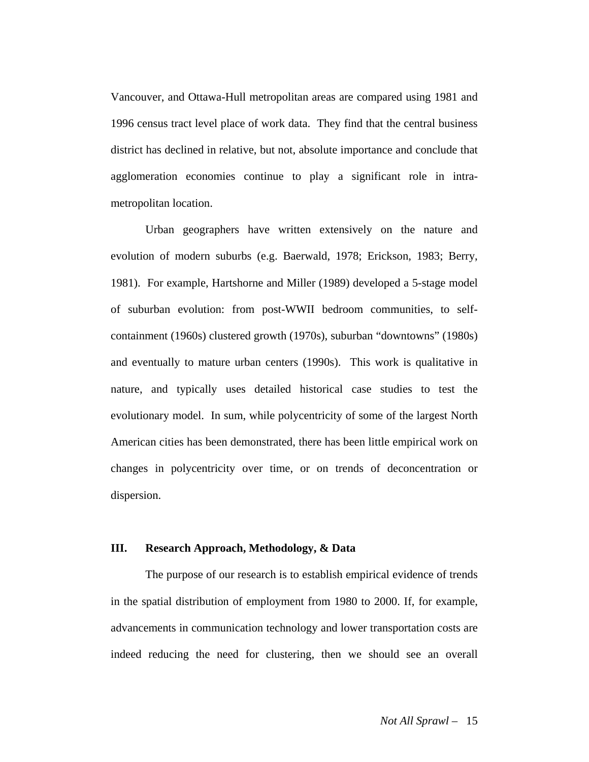Vancouver, and Ottawa-Hull metropolitan areas are compared using 1981 and 1996 census tract level place of work data. They find that the central business district has declined in relative, but not, absolute importance and conclude that agglomeration economies continue to play a significant role in intrametropolitan location.

Urban geographers have written extensively on the nature and evolution of modern suburbs (e.g. Baerwald, 1978; Erickson, 1983; Berry, 1981). For example, Hartshorne and Miller (1989) developed a 5-stage model of suburban evolution: from post-WWII bedroom communities, to selfcontainment (1960s) clustered growth (1970s), suburban "downtowns" (1980s) and eventually to mature urban centers (1990s). This work is qualitative in nature, and typically uses detailed historical case studies to test the evolutionary model. In sum, while polycentricity of some of the largest North American cities has been demonstrated, there has been little empirical work on changes in polycentricity over time, or on trends of deconcentration or dispersion.

#### **III. Research Approach, Methodology, & Data**

 The purpose of our research is to establish empirical evidence of trends in the spatial distribution of employment from 1980 to 2000. If, for example, advancements in communication technology and lower transportation costs are indeed reducing the need for clustering, then we should see an overall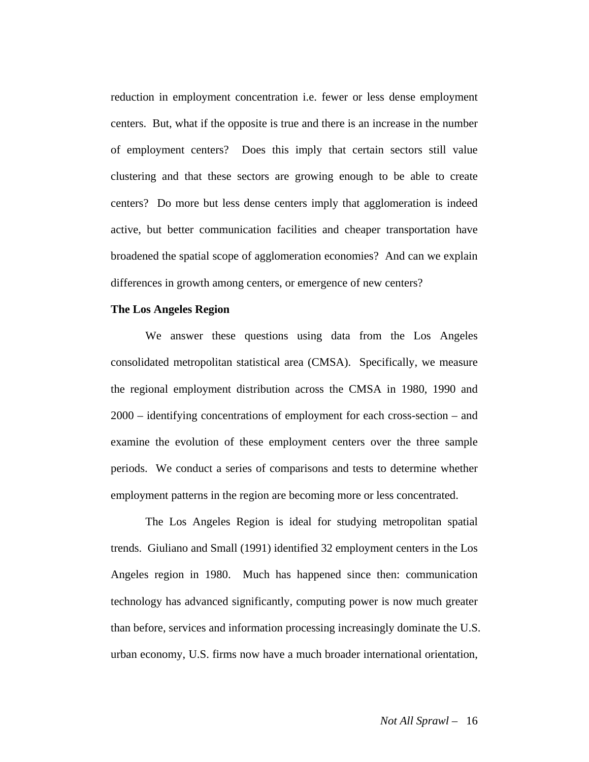reduction in employment concentration i.e. fewer or less dense employment centers. But, what if the opposite is true and there is an increase in the number of employment centers? Does this imply that certain sectors still value clustering and that these sectors are growing enough to be able to create centers? Do more but less dense centers imply that agglomeration is indeed active, but better communication facilities and cheaper transportation have broadened the spatial scope of agglomeration economies? And can we explain differences in growth among centers, or emergence of new centers?

#### **The Los Angeles Region**

 We answer these questions using data from the Los Angeles consolidated metropolitan statistical area (CMSA). Specifically, we measure the regional employment distribution across the CMSA in 1980, 1990 and 2000 – identifying concentrations of employment for each cross-section – and examine the evolution of these employment centers over the three sample periods. We conduct a series of comparisons and tests to determine whether employment patterns in the region are becoming more or less concentrated.

The Los Angeles Region is ideal for studying metropolitan spatial trends. Giuliano and Small (1991) identified 32 employment centers in the Los Angeles region in 1980. Much has happened since then: communication technology has advanced significantly, computing power is now much greater than before, services and information processing increasingly dominate the U.S. urban economy, U.S. firms now have a much broader international orientation,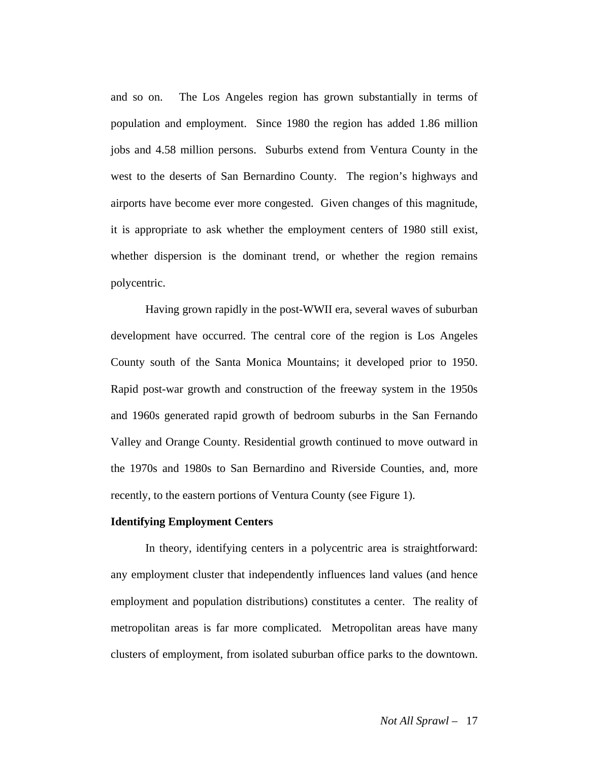and so on. The Los Angeles region has grown substantially in terms of population and employment. Since 1980 the region has added 1.86 million jobs and 4.58 million persons. Suburbs extend from Ventura County in the west to the deserts of San Bernardino County. The region's highways and airports have become ever more congested. Given changes of this magnitude, it is appropriate to ask whether the employment centers of 1980 still exist, whether dispersion is the dominant trend, or whether the region remains polycentric.

 Having grown rapidly in the post-WWII era, several waves of suburban development have occurred. The central core of the region is Los Angeles County south of the Santa Monica Mountains; it developed prior to 1950. Rapid post-war growth and construction of the freeway system in the 1950s and 1960s generated rapid growth of bedroom suburbs in the San Fernando Valley and Orange County. Residential growth continued to move outward in the 1970s and 1980s to San Bernardino and Riverside Counties, and, more recently, to the eastern portions of Ventura County (see Figure 1).

#### **Identifying Employment Centers**

In theory, identifying centers in a polycentric area is straightforward: any employment cluster that independently influences land values (and hence employment and population distributions) constitutes a center. The reality of metropolitan areas is far more complicated. Metropolitan areas have many clusters of employment, from isolated suburban office parks to the downtown.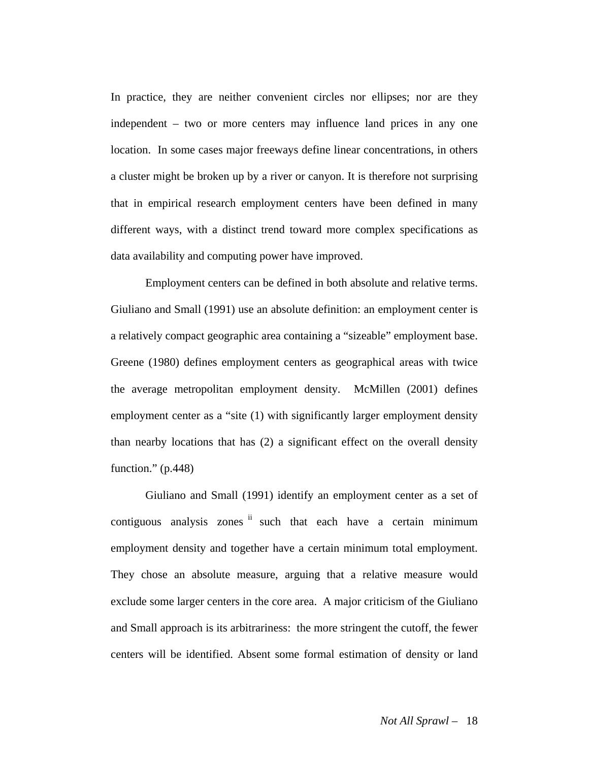In practice, they are neither convenient circles nor ellipses; nor are they independent – two or more centers may influence land prices in any one location. In some cases major freeways define linear concentrations, in others a cluster might be broken up by a river or canyon. It is therefore not surprising that in empirical research employment centers have been defined in many different ways, with a distinct trend toward more complex specifications as data availability and computing power have improved.

Employment centers can be defined in both absolute and relative terms. Giuliano and Small (1991) use an absolute definition: an employment center is a relatively compact geographic area containing a "sizeable" employment base. Greene (1980) defines employment centers as geographical areas with twice the average metropolitan employment density. McMillen (2001) defines employment center as a "site (1) with significantly larger employment density than nearby locations that has (2) a significant effect on the overall density function."  $(p.448)$ 

Giuliano and Small (1991) identify an employment center as a set of contiguous analysis zones ii such that each have a certain minimum employment density and together have a certain minimum total employment. They chose an absolute measure, arguing that a relative measure would exclude some larger centers in the core area. A major criticism of the Giuliano and Small approach is its arbitrariness: the more stringent the cutoff, the fewer centers will be identified. Absent some formal estimation of density or land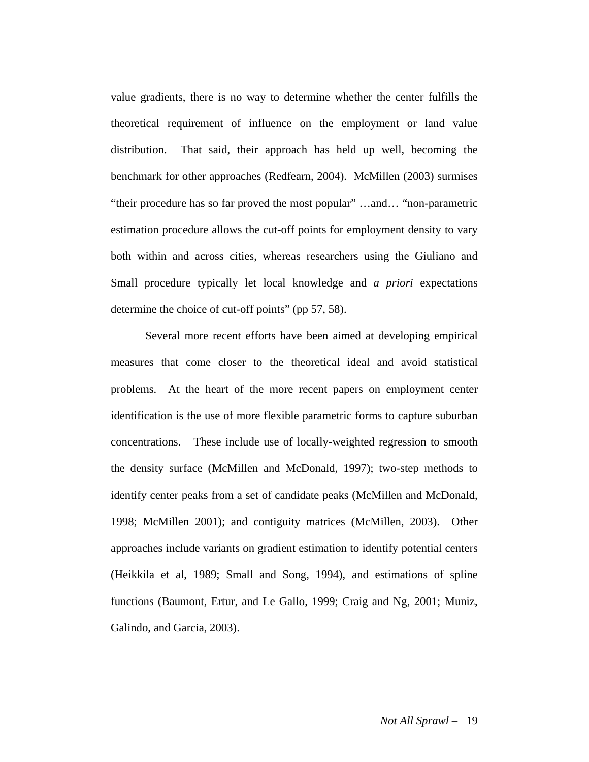value gradients, there is no way to determine whether the center fulfills the theoretical requirement of influence on the employment or land value distribution. That said, their approach has held up well, becoming the benchmark for other approaches (Redfearn, 2004). McMillen (2003) surmises "their procedure has so far proved the most popular" …and… "non-parametric estimation procedure allows the cut-off points for employment density to vary both within and across cities, whereas researchers using the Giuliano and Small procedure typically let local knowledge and *a priori* expectations determine the choice of cut-off points" (pp 57, 58).

Several more recent efforts have been aimed at developing empirical measures that come closer to the theoretical ideal and avoid statistical problems. At the heart of the more recent papers on employment center identification is the use of more flexible parametric forms to capture suburban concentrations. These include use of locally-weighted regression to smooth the density surface (McMillen and McDonald, 1997); two-step methods to identify center peaks from a set of candidate peaks (McMillen and McDonald, 1998; McMillen 2001); and contiguity matrices (McMillen, 2003). Other approaches include variants on gradient estimation to identify potential centers (Heikkila et al, 1989; Small and Song, 1994), and estimations of spline functions (Baumont, Ertur, and Le Gallo, 1999; Craig and Ng, 2001; Muniz, Galindo, and Garcia, 2003).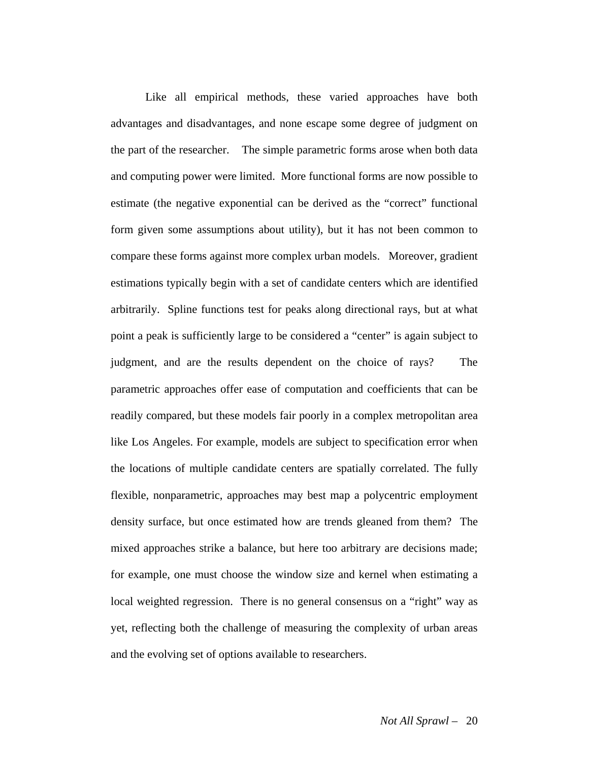Like all empirical methods, these varied approaches have both advantages and disadvantages, and none escape some degree of judgment on the part of the researcher. The simple parametric forms arose when both data and computing power were limited. More functional forms are now possible to estimate (the negative exponential can be derived as the "correct" functional form given some assumptions about utility), but it has not been common to compare these forms against more complex urban models. Moreover, gradient estimations typically begin with a set of candidate centers which are identified arbitrarily. Spline functions test for peaks along directional rays, but at what point a peak is sufficiently large to be considered a "center" is again subject to judgment, and are the results dependent on the choice of rays? The parametric approaches offer ease of computation and coefficients that can be readily compared, but these models fair poorly in a complex metropolitan area like Los Angeles. For example, models are subject to specification error when the locations of multiple candidate centers are spatially correlated. The fully flexible, nonparametric, approaches may best map a polycentric employment density surface, but once estimated how are trends gleaned from them? The mixed approaches strike a balance, but here too arbitrary are decisions made; for example, one must choose the window size and kernel when estimating a local weighted regression. There is no general consensus on a "right" way as yet, reflecting both the challenge of measuring the complexity of urban areas and the evolving set of options available to researchers.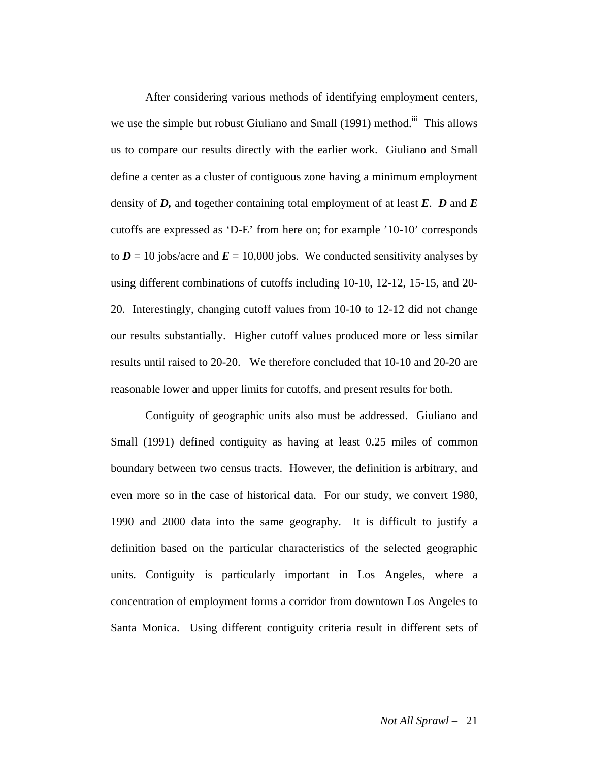After considering various methods of identifying employment centers, we use the simple but robust Giuliano and Small (1991) method.<sup>iii</sup> This allows us to compare our results directly with the earlier work. Giuliano and Small define a center as a cluster of contiguous zone having a minimum employment density of  $D$ , and together containing total employment of at least  $E$ .  $D$  and  $E$ cutoffs are expressed as 'D-E' from here on; for example '10-10' corresponds to  $D = 10$  jobs/acre and  $E = 10,000$  jobs. We conducted sensitivity analyses by using different combinations of cutoffs including 10-10, 12-12, 15-15, and 20- 20. Interestingly, changing cutoff values from 10-10 to 12-12 did not change our results substantially. Higher cutoff values produced more or less similar results until raised to 20-20. We therefore concluded that 10-10 and 20-20 are reasonable lower and upper limits for cutoffs, and present results for both.

 Contiguity of geographic units also must be addressed. Giuliano and Small (1991) defined contiguity as having at least 0.25 miles of common boundary between two census tracts. However, the definition is arbitrary, and even more so in the case of historical data. For our study, we convert 1980, 1990 and 2000 data into the same geography. It is difficult to justify a definition based on the particular characteristics of the selected geographic units. Contiguity is particularly important in Los Angeles, where a concentration of employment forms a corridor from downtown Los Angeles to Santa Monica. Using different contiguity criteria result in different sets of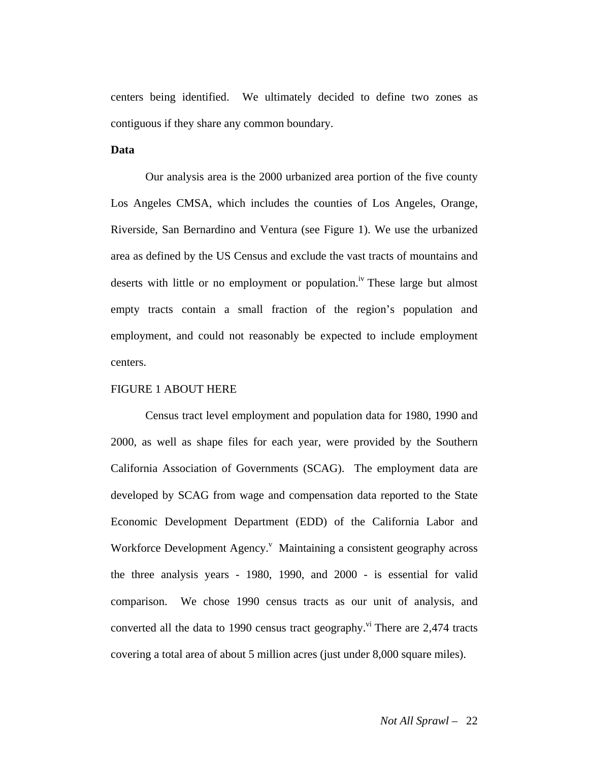centers being identified. We ultimately decided to define two zones as contiguous if they share any common boundary.

#### **Data**

 Our analysis area is the 2000 urbanized area portion of the five county Los Angeles CMSA, which includes the counties of Los Angeles, Orange, Riverside, San Bernardino and Ventura (see Figure 1). We use the urbanized area as defined by the US Census and exclude the vast tracts of mountains and deserts with little or no employment or population.<sup>iv</sup> These large but almost empty tracts contain a small fraction of the region's population and employment, and could not reasonably be expected to include employment centers.

#### FIGURE 1 ABOUT HERE

 Census tract level employment and population data for 1980, 1990 and 2000, as well as shape files for each year, were provided by the Southern California Association of Governments (SCAG). The employment data are developed by SCAG from wage and compensation data reported to the State Economic Development Department (EDD) of the California Labor and Workforce Development Agency.<sup>v</sup> Maintaining a consistent geography across the three analysis years - 1980, 1990, and 2000 - is essential for valid comparison. We chose 1990 census tracts as our unit of analysis, and converted all the data to 1990 census tract geography.<sup>vi</sup> There are 2,474 tracts covering a total area of about 5 million acres (just under 8,000 square miles).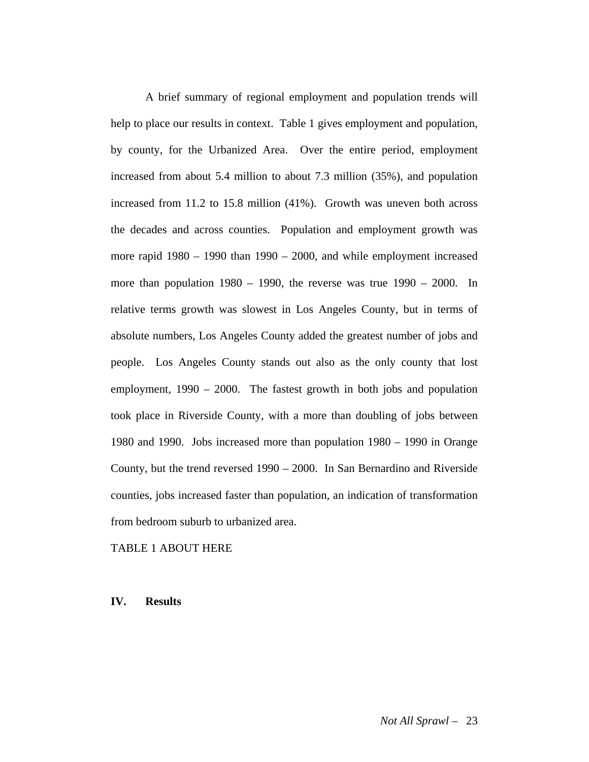A brief summary of regional employment and population trends will help to place our results in context. Table 1 gives employment and population, by county, for the Urbanized Area. Over the entire period, employment increased from about 5.4 million to about 7.3 million (35%), and population increased from 11.2 to 15.8 million (41%). Growth was uneven both across the decades and across counties. Population and employment growth was more rapid 1980 – 1990 than 1990 – 2000, and while employment increased more than population 1980 – 1990, the reverse was true 1990 – 2000. In relative terms growth was slowest in Los Angeles County, but in terms of absolute numbers, Los Angeles County added the greatest number of jobs and people. Los Angeles County stands out also as the only county that lost employment, 1990 – 2000. The fastest growth in both jobs and population took place in Riverside County, with a more than doubling of jobs between 1980 and 1990. Jobs increased more than population 1980 – 1990 in Orange County, but the trend reversed 1990 – 2000. In San Bernardino and Riverside counties, jobs increased faster than population, an indication of transformation from bedroom suburb to urbanized area.

#### TABLE 1 ABOUT HERE

**IV. Results**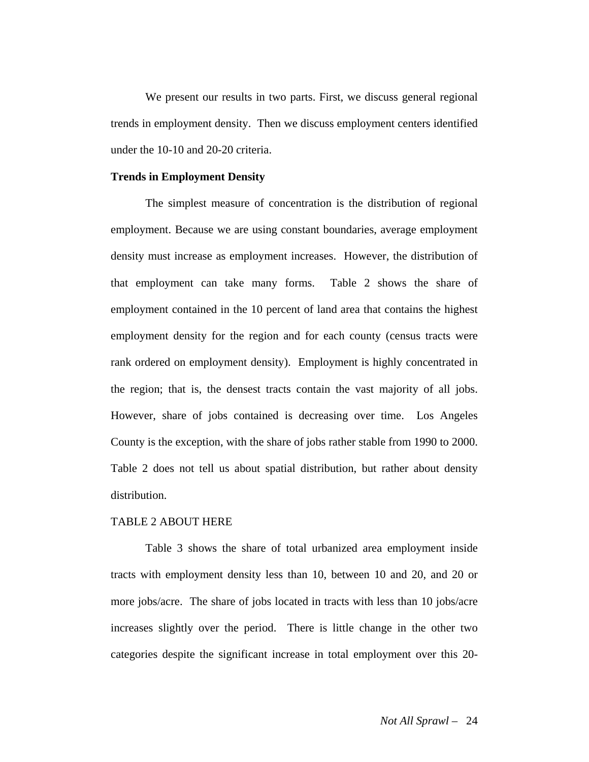We present our results in two parts. First, we discuss general regional trends in employment density. Then we discuss employment centers identified under the 10-10 and 20-20 criteria.

#### **Trends in Employment Density**

The simplest measure of concentration is the distribution of regional employment. Because we are using constant boundaries, average employment density must increase as employment increases. However, the distribution of that employment can take many forms. Table 2 shows the share of employment contained in the 10 percent of land area that contains the highest employment density for the region and for each county (census tracts were rank ordered on employment density). Employment is highly concentrated in the region; that is, the densest tracts contain the vast majority of all jobs. However, share of jobs contained is decreasing over time. Los Angeles County is the exception, with the share of jobs rather stable from 1990 to 2000. Table 2 does not tell us about spatial distribution, but rather about density distribution.

#### TABLE 2 ABOUT HERE

Table 3 shows the share of total urbanized area employment inside tracts with employment density less than 10, between 10 and 20, and 20 or more jobs/acre. The share of jobs located in tracts with less than 10 jobs/acre increases slightly over the period. There is little change in the other two categories despite the significant increase in total employment over this 20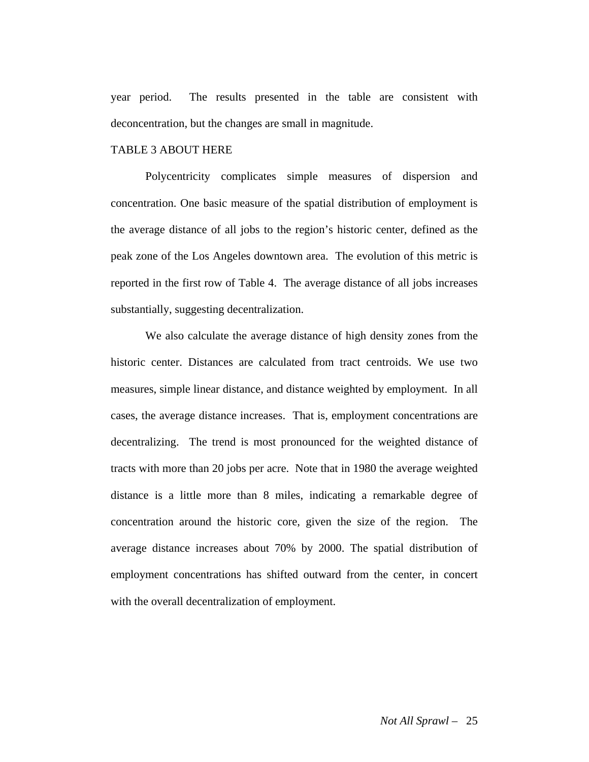year period. The results presented in the table are consistent with deconcentration, but the changes are small in magnitude.

#### TABLE 3 ABOUT HERE

Polycentricity complicates simple measures of dispersion and concentration. One basic measure of the spatial distribution of employment is the average distance of all jobs to the region's historic center, defined as the peak zone of the Los Angeles downtown area. The evolution of this metric is reported in the first row of Table 4. The average distance of all jobs increases substantially, suggesting decentralization.

We also calculate the average distance of high density zones from the historic center. Distances are calculated from tract centroids. We use two measures, simple linear distance, and distance weighted by employment. In all cases, the average distance increases. That is, employment concentrations are decentralizing. The trend is most pronounced for the weighted distance of tracts with more than 20 jobs per acre. Note that in 1980 the average weighted distance is a little more than 8 miles, indicating a remarkable degree of concentration around the historic core, given the size of the region. The average distance increases about 70% by 2000. The spatial distribution of employment concentrations has shifted outward from the center, in concert with the overall decentralization of employment.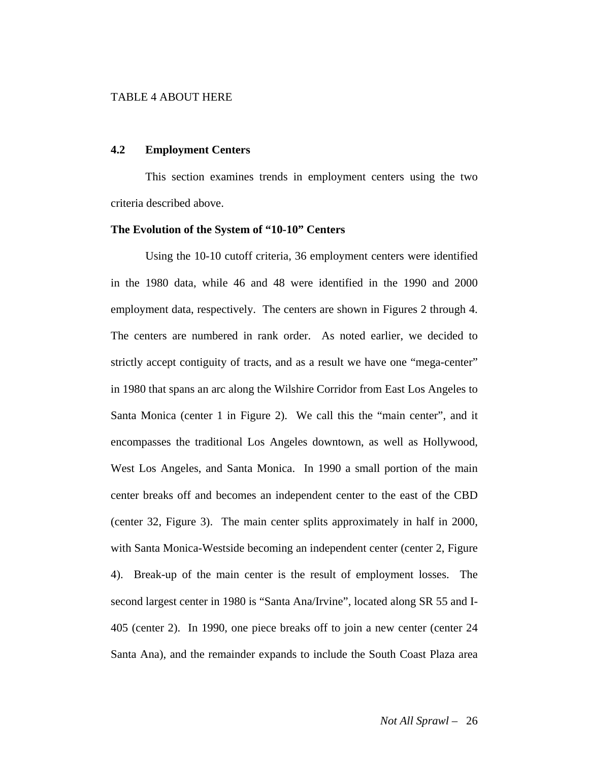#### TABLE 4 ABOUT HERE

#### **4.2 Employment Centers**

 This section examines trends in employment centers using the two criteria described above.

#### **The Evolution of the System of "10-10" Centers**

Using the 10-10 cutoff criteria, 36 employment centers were identified in the 1980 data, while 46 and 48 were identified in the 1990 and 2000 employment data, respectively. The centers are shown in Figures 2 through 4. The centers are numbered in rank order. As noted earlier, we decided to strictly accept contiguity of tracts, and as a result we have one "mega-center" in 1980 that spans an arc along the Wilshire Corridor from East Los Angeles to Santa Monica (center 1 in Figure 2). We call this the "main center", and it encompasses the traditional Los Angeles downtown, as well as Hollywood, West Los Angeles, and Santa Monica. In 1990 a small portion of the main center breaks off and becomes an independent center to the east of the CBD (center 32, Figure 3). The main center splits approximately in half in 2000, with Santa Monica-Westside becoming an independent center (center 2, Figure 4). Break-up of the main center is the result of employment losses. The second largest center in 1980 is "Santa Ana/Irvine", located along SR 55 and I-405 (center 2). In 1990, one piece breaks off to join a new center (center 24 Santa Ana), and the remainder expands to include the South Coast Plaza area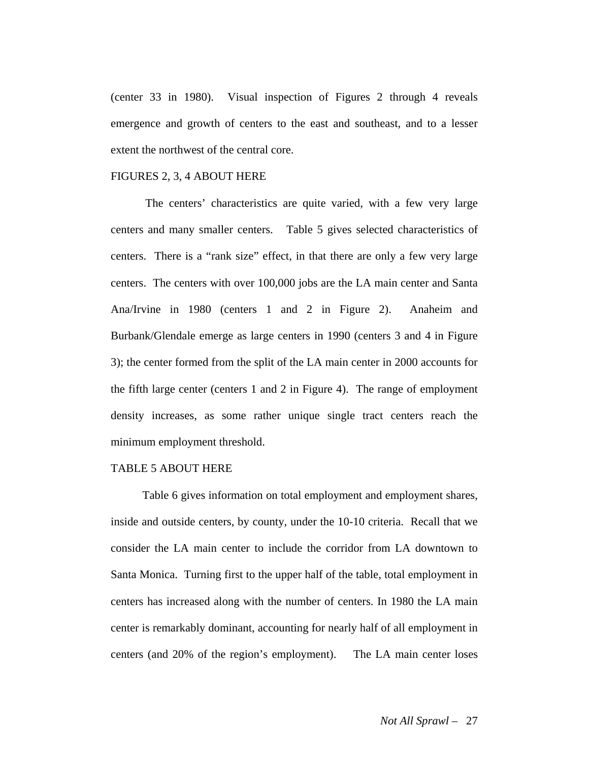(center 33 in 1980). Visual inspection of Figures 2 through 4 reveals emergence and growth of centers to the east and southeast, and to a lesser extent the northwest of the central core.

#### FIGURES 2, 3, 4 ABOUT HERE

 The centers' characteristics are quite varied, with a few very large centers and many smaller centers. Table 5 gives selected characteristics of centers. There is a "rank size" effect, in that there are only a few very large centers. The centers with over 100,000 jobs are the LA main center and Santa Ana/Irvine in 1980 (centers 1 and 2 in Figure 2). Anaheim and Burbank/Glendale emerge as large centers in 1990 (centers 3 and 4 in Figure 3); the center formed from the split of the LA main center in 2000 accounts for the fifth large center (centers 1 and 2 in Figure 4). The range of employment density increases, as some rather unique single tract centers reach the minimum employment threshold.

#### TABLE 5 ABOUT HERE

 Table 6 gives information on total employment and employment shares, inside and outside centers, by county, under the 10-10 criteria. Recall that we consider the LA main center to include the corridor from LA downtown to Santa Monica. Turning first to the upper half of the table, total employment in centers has increased along with the number of centers. In 1980 the LA main center is remarkably dominant, accounting for nearly half of all employment in centers (and 20% of the region's employment). The LA main center loses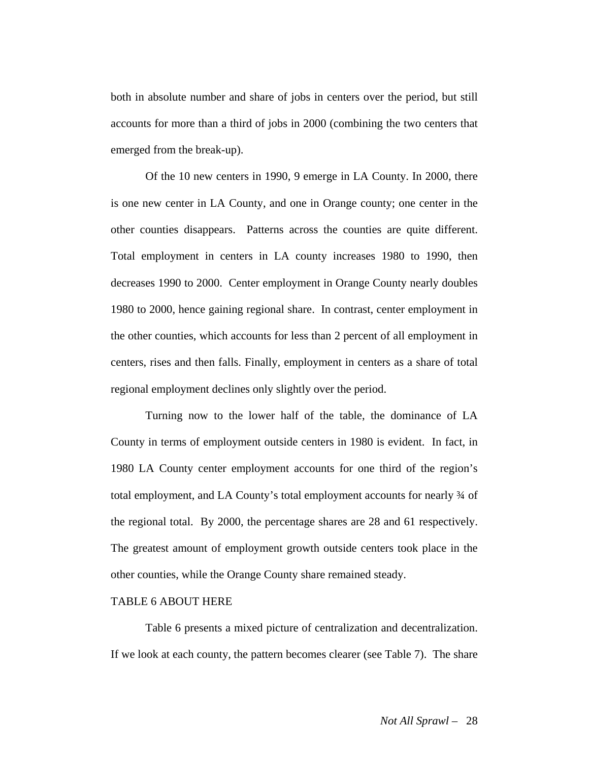both in absolute number and share of jobs in centers over the period, but still accounts for more than a third of jobs in 2000 (combining the two centers that emerged from the break-up).

Of the 10 new centers in 1990, 9 emerge in LA County. In 2000, there is one new center in LA County, and one in Orange county; one center in the other counties disappears. Patterns across the counties are quite different. Total employment in centers in LA county increases 1980 to 1990, then decreases 1990 to 2000. Center employment in Orange County nearly doubles 1980 to 2000, hence gaining regional share. In contrast, center employment in the other counties, which accounts for less than 2 percent of all employment in centers, rises and then falls. Finally, employment in centers as a share of total regional employment declines only slightly over the period.

Turning now to the lower half of the table, the dominance of LA County in terms of employment outside centers in 1980 is evident. In fact, in 1980 LA County center employment accounts for one third of the region's total employment, and LA County's total employment accounts for nearly ¾ of the regional total. By 2000, the percentage shares are 28 and 61 respectively. The greatest amount of employment growth outside centers took place in the other counties, while the Orange County share remained steady.

#### TABLE 6 ABOUT HERE

Table 6 presents a mixed picture of centralization and decentralization. If we look at each county, the pattern becomes clearer (see Table 7). The share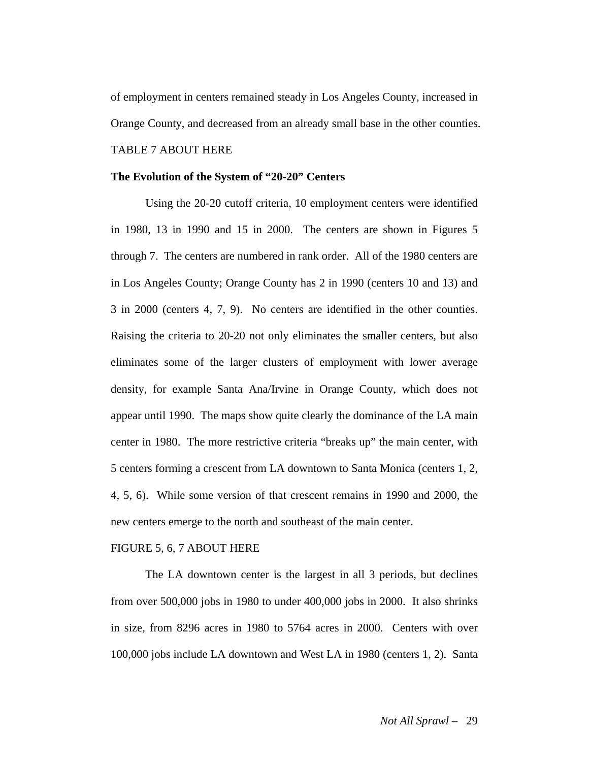of employment in centers remained steady in Los Angeles County, increased in Orange County, and decreased from an already small base in the other counties. TABLE 7 ABOUT HERE

#### **The Evolution of the System of "20-20" Centers**

Using the 20-20 cutoff criteria, 10 employment centers were identified in 1980, 13 in 1990 and 15 in 2000. The centers are shown in Figures 5 through 7. The centers are numbered in rank order. All of the 1980 centers are in Los Angeles County; Orange County has 2 in 1990 (centers 10 and 13) and 3 in 2000 (centers 4, 7, 9). No centers are identified in the other counties. Raising the criteria to 20-20 not only eliminates the smaller centers, but also eliminates some of the larger clusters of employment with lower average density, for example Santa Ana/Irvine in Orange County, which does not appear until 1990. The maps show quite clearly the dominance of the LA main center in 1980. The more restrictive criteria "breaks up" the main center, with 5 centers forming a crescent from LA downtown to Santa Monica (centers 1, 2, 4, 5, 6). While some version of that crescent remains in 1990 and 2000, the new centers emerge to the north and southeast of the main center.

#### FIGURE 5, 6, 7 ABOUT HERE

The LA downtown center is the largest in all 3 periods, but declines from over 500,000 jobs in 1980 to under 400,000 jobs in 2000. It also shrinks in size, from 8296 acres in 1980 to 5764 acres in 2000. Centers with over 100,000 jobs include LA downtown and West LA in 1980 (centers 1, 2). Santa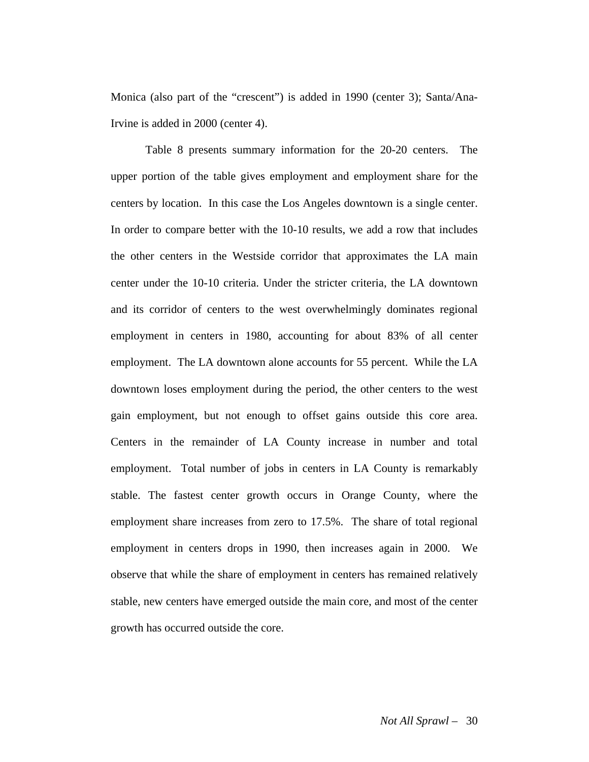Monica (also part of the "crescent") is added in 1990 (center 3); Santa/Ana-Irvine is added in 2000 (center 4).

 Table 8 presents summary information for the 20-20 centers. The upper portion of the table gives employment and employment share for the centers by location. In this case the Los Angeles downtown is a single center. In order to compare better with the 10-10 results, we add a row that includes the other centers in the Westside corridor that approximates the LA main center under the 10-10 criteria. Under the stricter criteria, the LA downtown and its corridor of centers to the west overwhelmingly dominates regional employment in centers in 1980, accounting for about 83% of all center employment. The LA downtown alone accounts for 55 percent. While the LA downtown loses employment during the period, the other centers to the west gain employment, but not enough to offset gains outside this core area. Centers in the remainder of LA County increase in number and total employment. Total number of jobs in centers in LA County is remarkably stable. The fastest center growth occurs in Orange County, where the employment share increases from zero to 17.5%. The share of total regional employment in centers drops in 1990, then increases again in 2000. We observe that while the share of employment in centers has remained relatively stable, new centers have emerged outside the main core, and most of the center growth has occurred outside the core.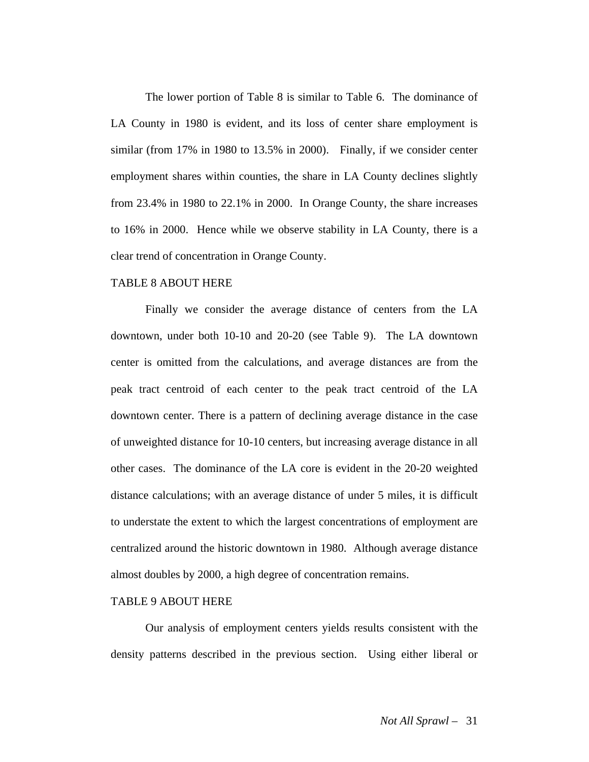The lower portion of Table 8 is similar to Table 6. The dominance of LA County in 1980 is evident, and its loss of center share employment is similar (from 17% in 1980 to 13.5% in 2000). Finally, if we consider center employment shares within counties, the share in LA County declines slightly from 23.4% in 1980 to 22.1% in 2000. In Orange County, the share increases to 16% in 2000. Hence while we observe stability in LA County, there is a clear trend of concentration in Orange County.

#### TABLE 8 ABOUT HERE

Finally we consider the average distance of centers from the LA downtown, under both 10-10 and 20-20 (see Table 9). The LA downtown center is omitted from the calculations, and average distances are from the peak tract centroid of each center to the peak tract centroid of the LA downtown center. There is a pattern of declining average distance in the case of unweighted distance for 10-10 centers, but increasing average distance in all other cases. The dominance of the LA core is evident in the 20-20 weighted distance calculations; with an average distance of under 5 miles, it is difficult to understate the extent to which the largest concentrations of employment are centralized around the historic downtown in 1980. Although average distance almost doubles by 2000, a high degree of concentration remains.

#### TABLE 9 ABOUT HERE

 Our analysis of employment centers yields results consistent with the density patterns described in the previous section. Using either liberal or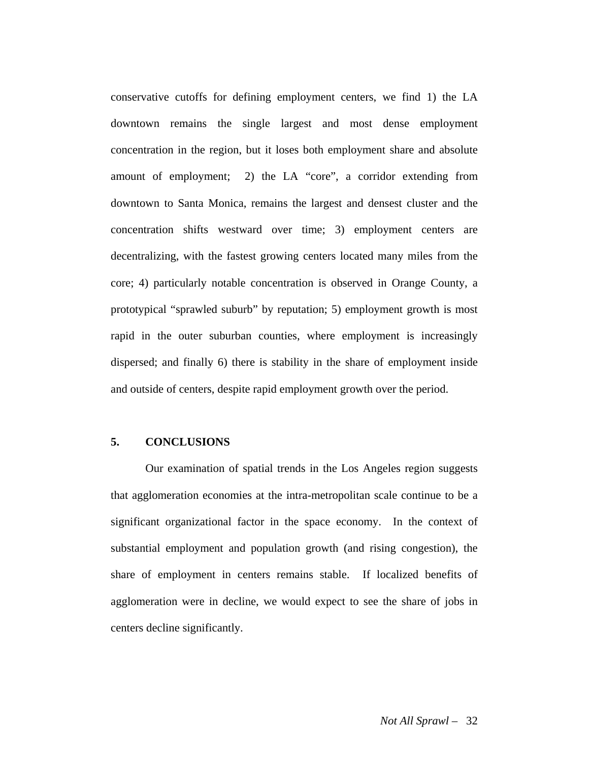conservative cutoffs for defining employment centers, we find 1) the LA downtown remains the single largest and most dense employment concentration in the region, but it loses both employment share and absolute amount of employment; 2) the LA "core", a corridor extending from downtown to Santa Monica, remains the largest and densest cluster and the concentration shifts westward over time; 3) employment centers are decentralizing, with the fastest growing centers located many miles from the core; 4) particularly notable concentration is observed in Orange County, a prototypical "sprawled suburb" by reputation; 5) employment growth is most rapid in the outer suburban counties, where employment is increasingly dispersed; and finally 6) there is stability in the share of employment inside and outside of centers, despite rapid employment growth over the period.

#### **5. CONCLUSIONS**

 Our examination of spatial trends in the Los Angeles region suggests that agglomeration economies at the intra-metropolitan scale continue to be a significant organizational factor in the space economy. In the context of substantial employment and population growth (and rising congestion), the share of employment in centers remains stable. If localized benefits of agglomeration were in decline, we would expect to see the share of jobs in centers decline significantly.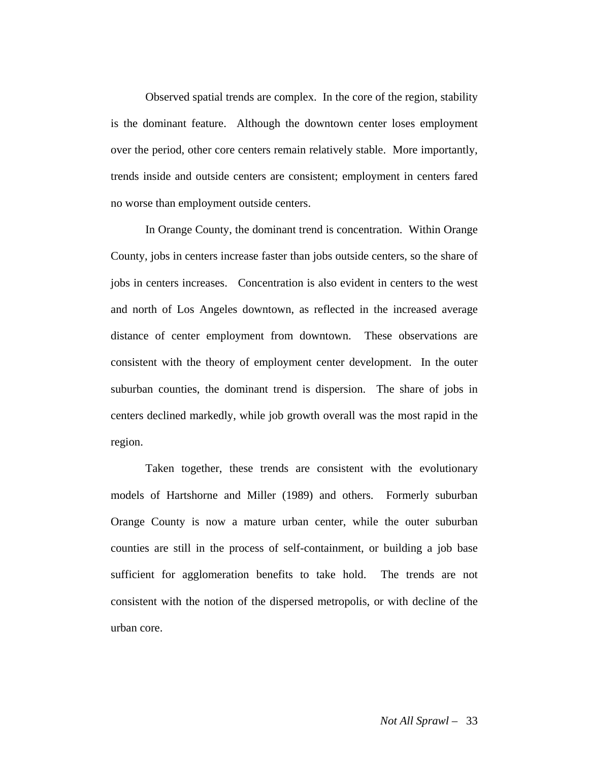Observed spatial trends are complex. In the core of the region, stability is the dominant feature. Although the downtown center loses employment over the period, other core centers remain relatively stable. More importantly, trends inside and outside centers are consistent; employment in centers fared no worse than employment outside centers.

In Orange County, the dominant trend is concentration. Within Orange County, jobs in centers increase faster than jobs outside centers, so the share of jobs in centers increases. Concentration is also evident in centers to the west and north of Los Angeles downtown, as reflected in the increased average distance of center employment from downtown. These observations are consistent with the theory of employment center development. In the outer suburban counties, the dominant trend is dispersion. The share of jobs in centers declined markedly, while job growth overall was the most rapid in the region.

 Taken together, these trends are consistent with the evolutionary models of Hartshorne and Miller (1989) and others. Formerly suburban Orange County is now a mature urban center, while the outer suburban counties are still in the process of self-containment, or building a job base sufficient for agglomeration benefits to take hold. The trends are not consistent with the notion of the dispersed metropolis, or with decline of the urban core.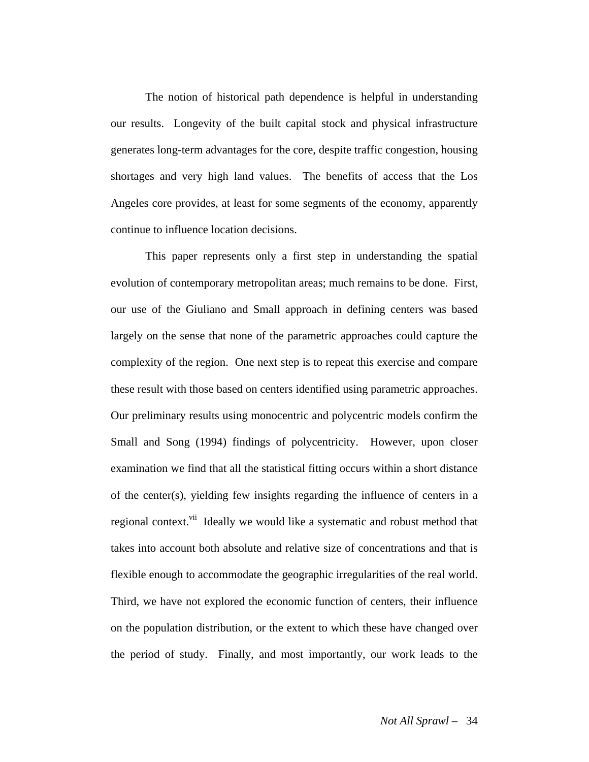The notion of historical path dependence is helpful in understanding our results. Longevity of the built capital stock and physical infrastructure generates long-term advantages for the core, despite traffic congestion, housing shortages and very high land values. The benefits of access that the Los Angeles core provides, at least for some segments of the economy, apparently continue to influence location decisions.

 This paper represents only a first step in understanding the spatial evolution of contemporary metropolitan areas; much remains to be done. First, our use of the Giuliano and Small approach in defining centers was based largely on the sense that none of the parametric approaches could capture the complexity of the region. One next step is to repeat this exercise and compare these result with those based on centers identified using parametric approaches. Our preliminary results using monocentric and polycentric models confirm the Small and Song (1994) findings of polycentricity. However, upon closer examination we find that all the statistical fitting occurs within a short distance of the center(s), yielding few insights regarding the influence of centers in a regional context.<sup>vii</sup> Ideally we would like a systematic and robust method that takes into account both absolute and relative size of concentrations and that is flexible enough to accommodate the geographic irregularities of the real world. Third, we have not explored the economic function of centers, their influence on the population distribution, or the extent to which these have changed over the period of study. Finally, and most importantly, our work leads to the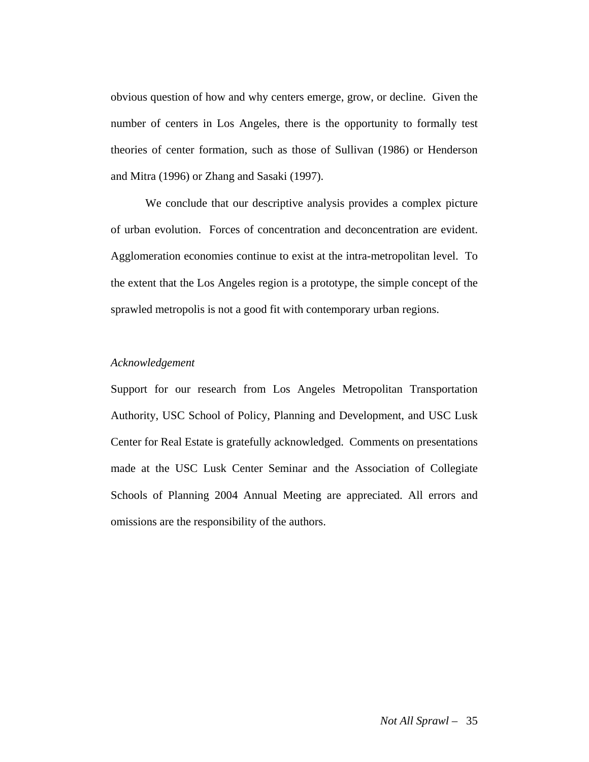obvious question of how and why centers emerge, grow, or decline. Given the number of centers in Los Angeles, there is the opportunity to formally test theories of center formation, such as those of Sullivan (1986) or Henderson and Mitra (1996) or Zhang and Sasaki (1997).

 We conclude that our descriptive analysis provides a complex picture of urban evolution. Forces of concentration and deconcentration are evident. Agglomeration economies continue to exist at the intra-metropolitan level. To the extent that the Los Angeles region is a prototype, the simple concept of the sprawled metropolis is not a good fit with contemporary urban regions.

#### *Acknowledgement*

Support for our research from Los Angeles Metropolitan Transportation Authority, USC School of Policy, Planning and Development, and USC Lusk Center for Real Estate is gratefully acknowledged. Comments on presentations made at the USC Lusk Center Seminar and the Association of Collegiate Schools of Planning 2004 Annual Meeting are appreciated. All errors and omissions are the responsibility of the authors.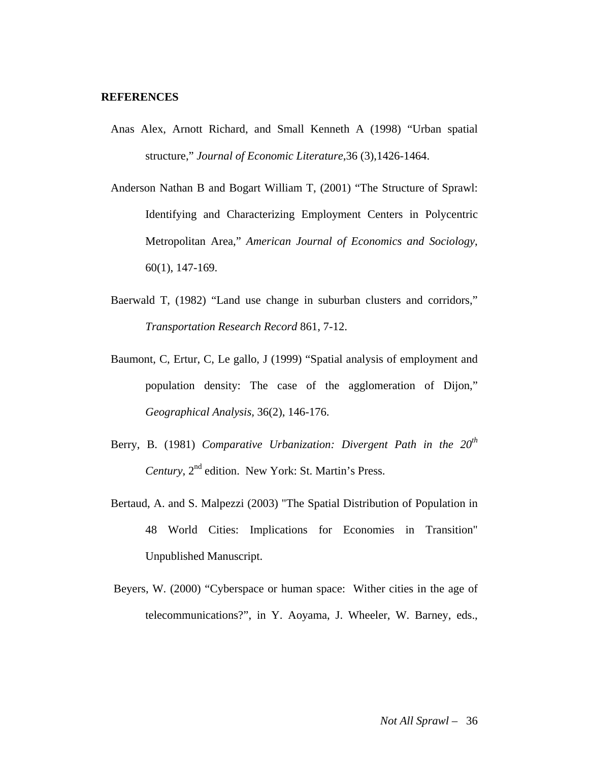#### **REFERENCES**

- Anas Alex, Arnott Richard, and Small Kenneth A (1998) "Urban spatial structure," *Journal of Economic Literature*,36 (3),1426-1464.
- Anderson Nathan B and Bogart William T, (2001) "The Structure of Sprawl: Identifying and Characterizing Employment Centers in Polycentric Metropolitan Area," *American Journal of Economics and Sociology*, 60(1), 147-169.
- Baerwald T, (1982) "Land use change in suburban clusters and corridors," *Transportation Research Record* 861, 7-12.
- Baumont, C, Ertur, C, Le gallo, J (1999) "Spatial analysis of employment and population density: The case of the agglomeration of Dijon," *Geographical Analysis,* 36(2), 146-176.
- Berry, B. (1981) *Comparative Urbanization: Divergent Path in the 20<sup>th</sup> Century*,  $2^{nd}$  edition. New York: St. Martin's Press.
- Bertaud, A. and S. Malpezzi (2003) "The Spatial Distribution of Population in 48 World Cities: Implications for Economies in Transition" Unpublished Manuscript.
- Beyers, W. (2000) "Cyberspace or human space: Wither cities in the age of telecommunications?", in Y. Aoyama, J. Wheeler, W. Barney, eds.,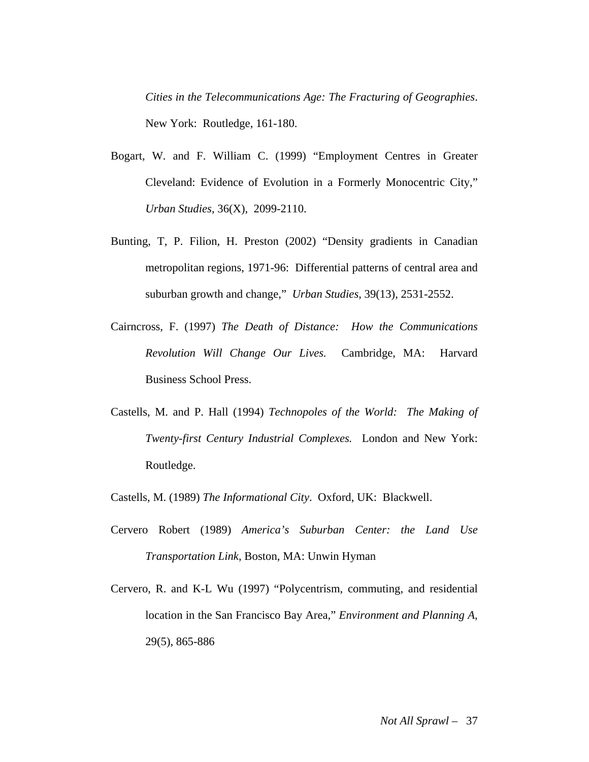*Cities in the Telecommunications Age: The Fracturing of Geographies*. New York: Routledge, 161-180.

- Bogart, W. and F. William C. (1999) "Employment Centres in Greater Cleveland: Evidence of Evolution in a Formerly Monocentric City," *Urban Studies*, 36(X), 2099-2110.
- Bunting, T, P. Filion, H. Preston (2002) "Density gradients in Canadian metropolitan regions, 1971-96: Differential patterns of central area and suburban growth and change," *Urban Studies*, 39(13), 2531-2552.
- Cairncross, F. (1997) *The Death of Distance: How the Communications Revolution Will Change Our Lives.* Cambridge, MA: Harvard Business School Press.
- Castells, M. and P. Hall (1994) *Technopoles of the World: The Making of Twenty-first Century Industrial Complexes.* London and New York: Routledge.
- Castells, M. (1989) *The Informational City*. Oxford, UK: Blackwell.
- Cervero Robert (1989) *America's Suburban Center: the Land Use Transportation Link*, Boston, MA: Unwin Hyman
- Cervero, R. and K-L Wu (1997) "Polycentrism, commuting, and residential location in the San Francisco Bay Area," *Environment and Planning A*, 29(5), 865-886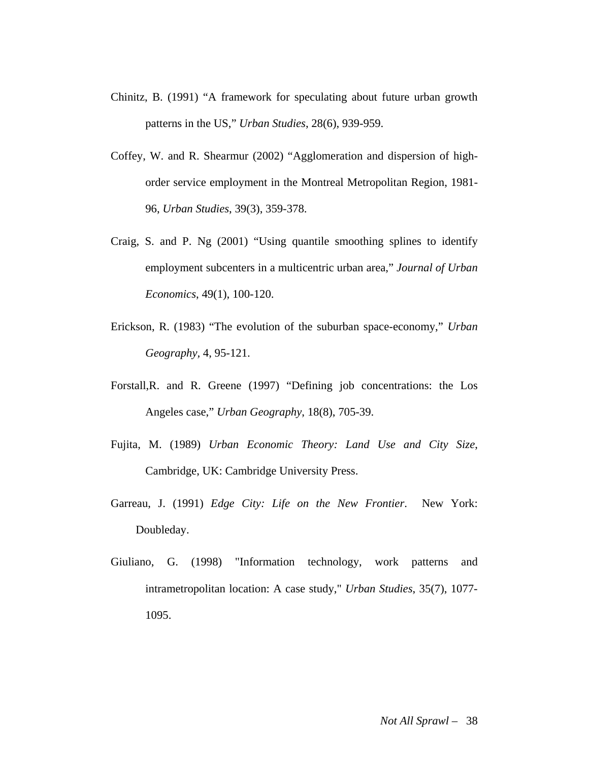- Chinitz, B. (1991) "A framework for speculating about future urban growth patterns in the US," *Urban Studies*, 28(6), 939-959.
- Coffey, W. and R. Shearmur (2002) "Agglomeration and dispersion of highorder service employment in the Montreal Metropolitan Region, 1981- 96, *Urban Studies*, 39(3), 359-378.
- Craig, S. and P. Ng (2001) "Using quantile smoothing splines to identify employment subcenters in a multicentric urban area," *Journal of Urban Economics*, 49(1), 100-120.
- Erickson, R. (1983) "The evolution of the suburban space-economy," *Urban Geography,* 4, 95-121.
- Forstall,R. and R. Greene (1997) "Defining job concentrations: the Los Angeles case," *Urban Geography*, 18(8), 705-39.
- Fujita, M. (1989) *Urban Economic Theory: Land Use and City Size*, Cambridge, UK: Cambridge University Press.
- Garreau, J. (1991) *Edge City: Life on the New Frontier*. New York: Doubleday.
- Giuliano, G. (1998) "Information technology, work patterns and intrametropolitan location: A case study," *Urban Studies*, 35(7), 1077- 1095.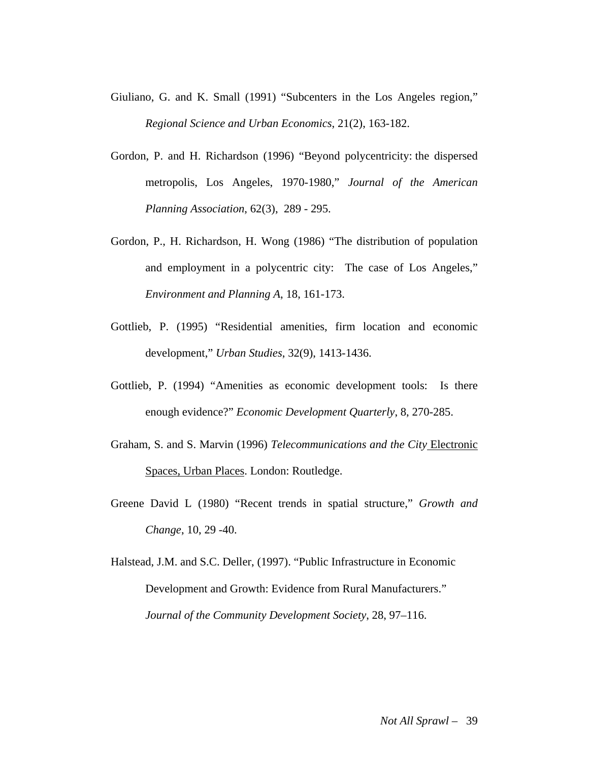- Giuliano, G. and K. Small (1991) "Subcenters in the Los Angeles region," *Regional Science and Urban Economics*, 21(2), 163-182.
- Gordon, P. and H. Richardson (1996) "Beyond polycentricity: the dispersed metropolis, Los Angeles, 1970-1980," *Journal of the American Planning Association*, 62(3), 289 - 295.
- Gordon, P., H. Richardson, H. Wong (1986) "The distribution of population and employment in a polycentric city: The case of Los Angeles," *Environment and Planning A*, 18, 161-173.
- Gottlieb, P. (1995) "Residential amenities, firm location and economic development," *Urban Studies*, 32(9), 1413-1436.
- Gottlieb, P. (1994) "Amenities as economic development tools: Is there enough evidence?" *Economic Development Quarterly*, 8, 270-285.
- Graham, S. and S. Marvin (1996) *Telecommunications and the City* Electronic Spaces, Urban Places. London: Routledge.
- Greene David L (1980) "Recent trends in spatial structure," *Growth and Change*, 10, 29 -40.

Halstead, J.M. and S.C. Deller, (1997). "Public Infrastructure in Economic Development and Growth: Evidence from Rural Manufacturers." *Journal of the Community Development Society*, 28, 97–116.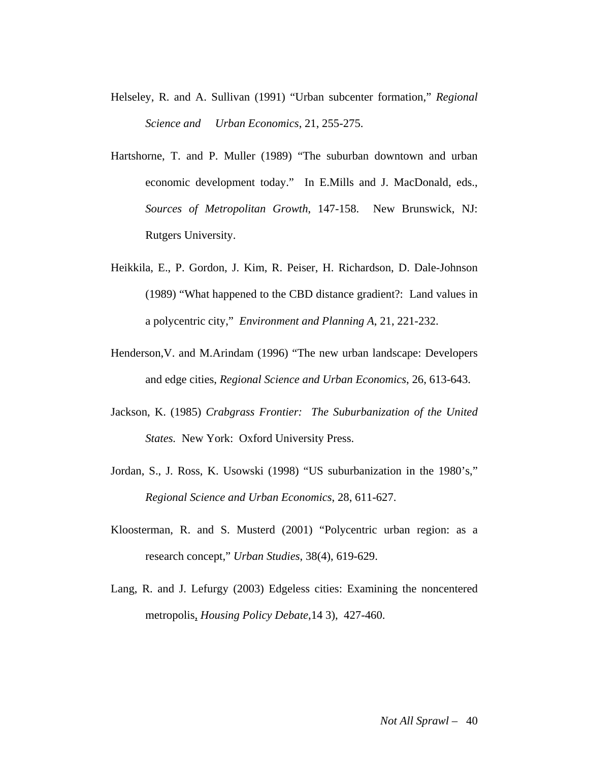- Helseley, R. and A. Sullivan (1991) "Urban subcenter formation," *Regional Science and Urban Economics*, 21, 255-275.
- Hartshorne, T. and P. Muller (1989) "The suburban downtown and urban economic development today." In E.Mills and J. MacDonald, eds., *Sources of Metropolitan Growth*, 147-158. New Brunswick, NJ: Rutgers University.
- Heikkila, E., P. Gordon, J. Kim, R. Peiser, H. Richardson, D. Dale-Johnson (1989) "What happened to the CBD distance gradient?: Land values in a polycentric city," *Environment and Planning A*, 21, 221-232.
- Henderson,V. and M.Arindam (1996) "The new urban landscape: Developers and edge cities, *Regional Science and Urban Economics*, 26, 613-643.
- Jackson, K. (1985) *Crabgrass Frontier: The Suburbanization of the United States.* New York: Oxford University Press.
- Jordan, S., J. Ross, K. Usowski (1998) "US suburbanization in the 1980's," *Regional Science and Urban Economics*, 28, 611-627.
- Kloosterman, R. and S. Musterd (2001) "Polycentric urban region: as a research concept," *Urban Studies*, 38(4), 619-629.
- Lang, R. and J. Lefurgy (2003) Edgeless cities: Examining the noncentered metropolis, *Housing Policy Debate*,14 3), 427-460.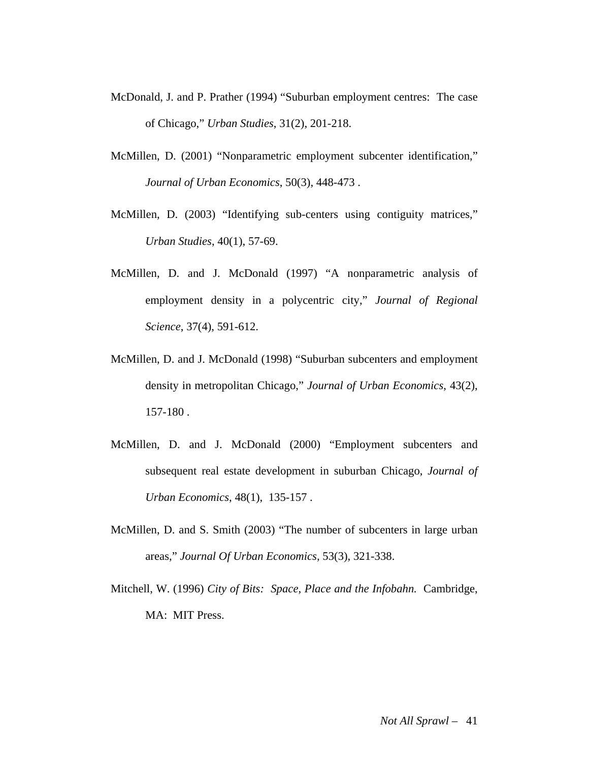- McDonald, J. and P. Prather (1994) "Suburban employment centres: The case of Chicago," *Urban Studies*, 31(2), 201-218.
- McMillen, D. (2001) "Nonparametric employment subcenter identification," *Journal of Urban Economics*, 50(3), 448-473 .
- McMillen, D. (2003) "Identifying sub-centers using contiguity matrices," *Urban Studies*, 40(1), 57-69.
- McMillen, D. and J. McDonald (1997) "A nonparametric analysis of employment density in a polycentric city," *Journal of Regional Science*, 37(4), 591-612.
- McMillen, D. and J. McDonald (1998) "Suburban subcenters and employment density in metropolitan Chicago," *Journal of Urban Economics*, 43(2), 157-180 .
- McMillen, D. and J. McDonald (2000) "Employment subcenters and subsequent real estate development in suburban Chicago, *Journal of Urban Economics*, 48(1), 135-157 .
- McMillen, D. and S. Smith (2003) "The number of subcenters in large urban areas," *Journal Of Urban Economics,* 53(3), 321-338.
- Mitchell, W. (1996) *City of Bits: Space, Place and the Infobahn.* Cambridge, MA: MIT Press.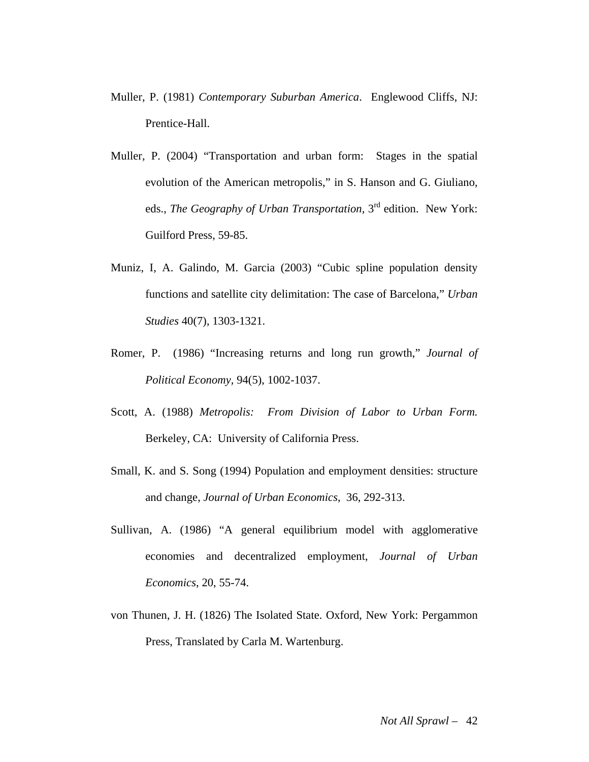- Muller, P. (1981) *Contemporary Suburban America*. Englewood Cliffs, NJ: Prentice-Hall.
- Muller, P. (2004) "Transportation and urban form: Stages in the spatial evolution of the American metropolis," in S. Hanson and G. Giuliano, eds., *The Geography of Urban Transportation,* 3rd edition. New York: Guilford Press, 59-85.
- Muniz, I, A. Galindo, M. Garcia (2003) "Cubic spline population density functions and satellite city delimitation: The case of Barcelona," *Urban Studies* 40(7), 1303-1321.
- Romer, P. (1986) "Increasing returns and long run growth," *Journal of Political Economy,* 94(5), 1002-1037.
- Scott, A. (1988) *Metropolis: From Division of Labor to Urban Form.* Berkeley, CA: University of California Press.
- Small, K. and S. Song (1994) Population and employment densities: structure and change, *Journal of Urban Economics*, 36, 292-313.
- Sullivan, A. (1986) "A general equilibrium model with agglomerative economies and decentralized employment, *Journal of Urban Economics*, 20, 55-74.
- von Thunen, J. H. (1826) The Isolated State. Oxford, New York: Pergammon Press, Translated by Carla M. Wartenburg.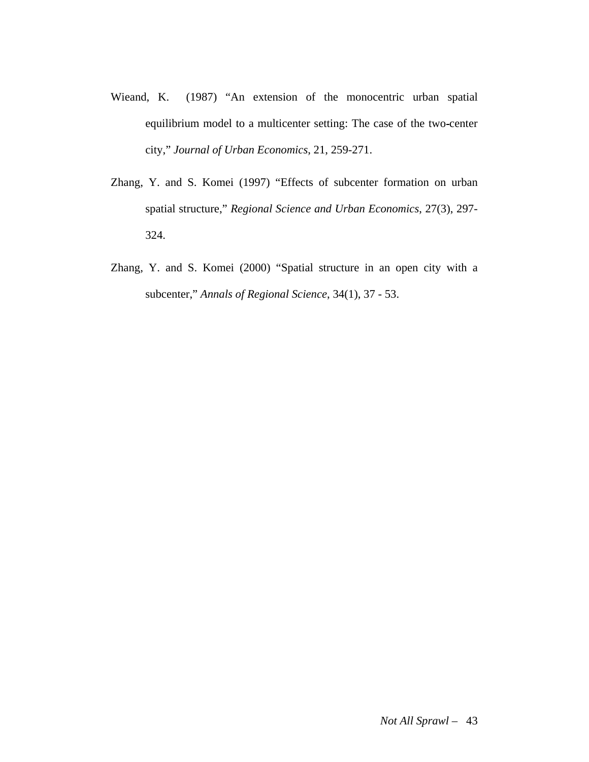- Wieand, K. (1987) "An extension of the monocentric urban spatial equilibrium model to a multicenter setting: The case of the two center city," *Journal of Urban Economics*, 21, 259-271.
- Zhang, Y. and S. Komei (1997) "Effects of subcenter formation on urban spatial structure," *Regional Science and Urban Economics*, 27(3), 297- 324.
- Zhang, Y. and S. Komei (2000) "Spatial structure in an open city with a subcenter," *Annals of Regional Science*, 34(1), 37 - 53.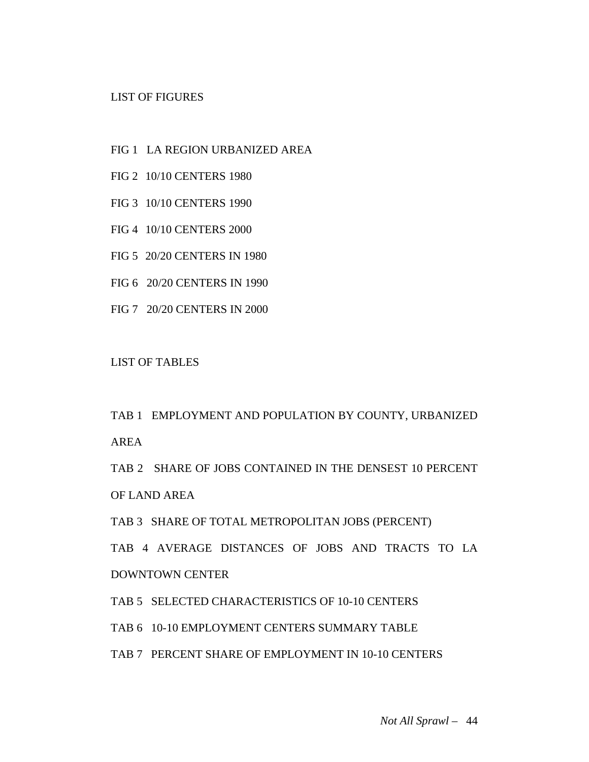#### LIST OF FIGURES

- FIG 1 LA REGION URBANIZED AREA
- FIG 2 10/10 CENTERS 1980
- FIG 3 10/10 CENTERS 1990
- FIG 4 10/10 CENTERS 2000
- FIG 5 20/20 CENTERS IN 1980
- FIG 6 20/20 CENTERS IN 1990
- FIG 7 20/20 CENTERS IN 2000

LIST OF TABLES

TAB 1 EMPLOYMENT AND POPULATION BY COUNTY, URBANIZED AREA

TAB 2 SHARE OF JOBS CONTAINED IN THE DENSEST 10 PERCENT OF LAND AREA

TAB 3 SHARE OF TOTAL METROPOLITAN JOBS (PERCENT)

TAB 4 AVERAGE DISTANCES OF JOBS AND TRACTS TO LA DOWNTOWN CENTER

TAB 5 SELECTED CHARACTERISTICS OF 10-10 CENTERS

TAB 6 10-10 EMPLOYMENT CENTERS SUMMARY TABLE

TAB 7 PERCENT SHARE OF EMPLOYMENT IN 10-10 CENTERS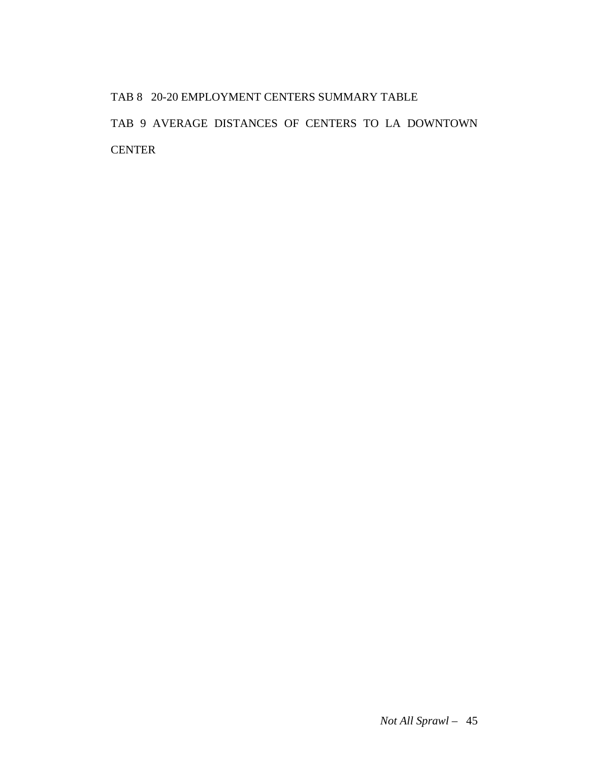# TAB 8 20-20 EMPLOYMENT CENTERS SUMMARY TABLE TAB 9 AVERAGE DISTANCES OF CENTERS TO LA DOWNTOWN CENTER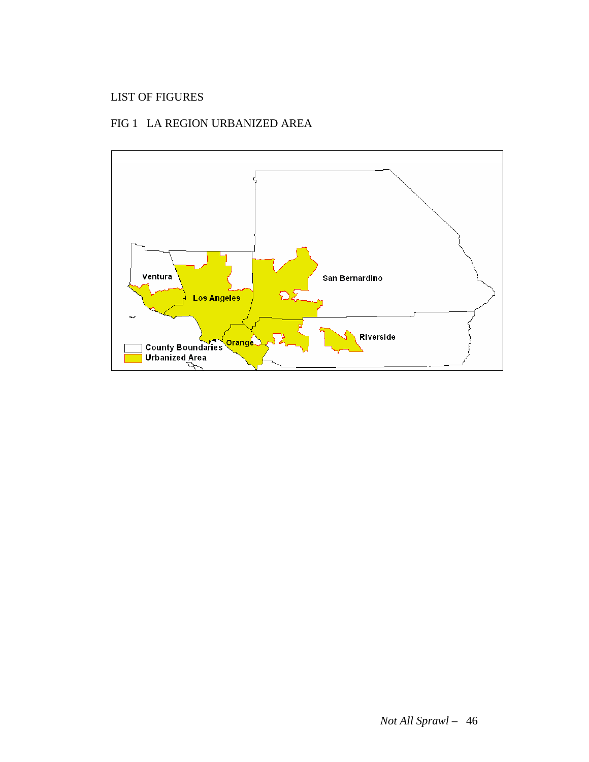### LIST OF FIGURES

### FIG 1 LA REGION URBANIZED AREA

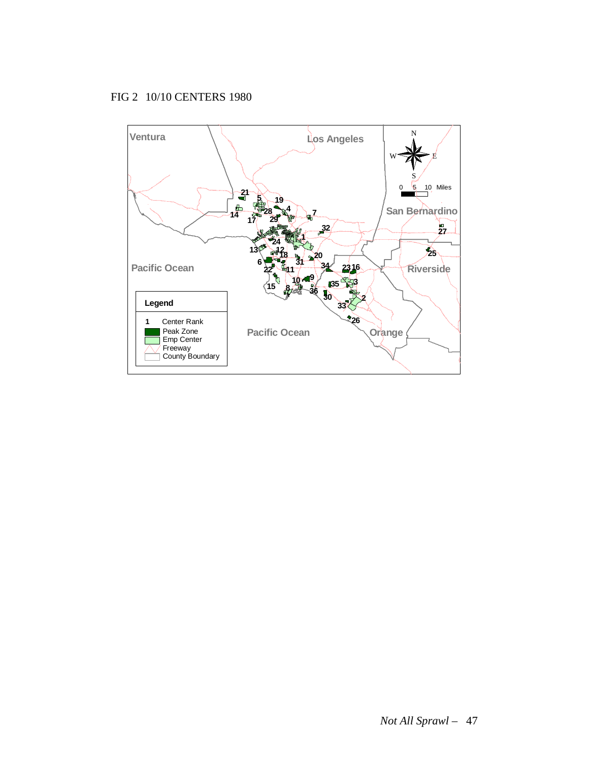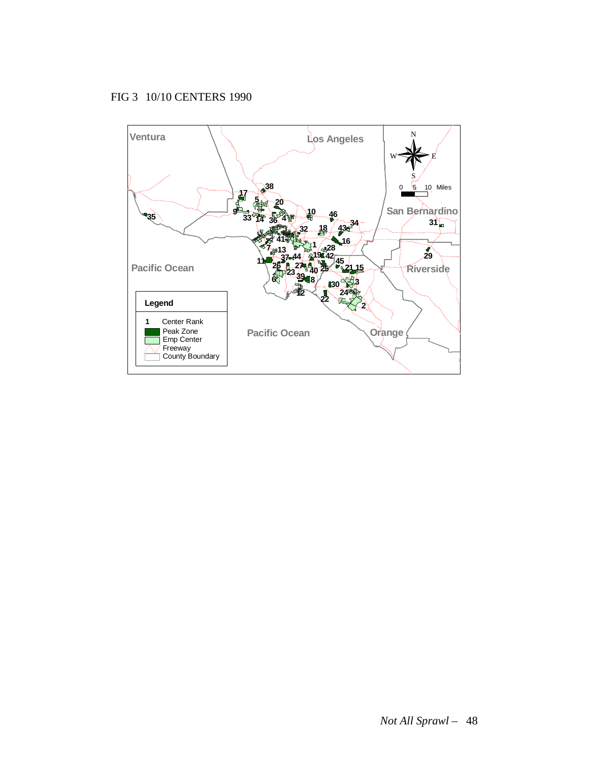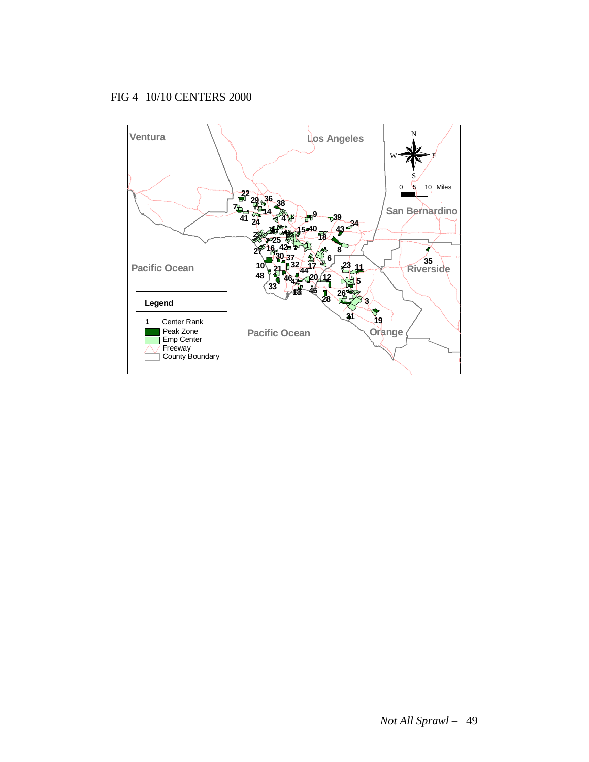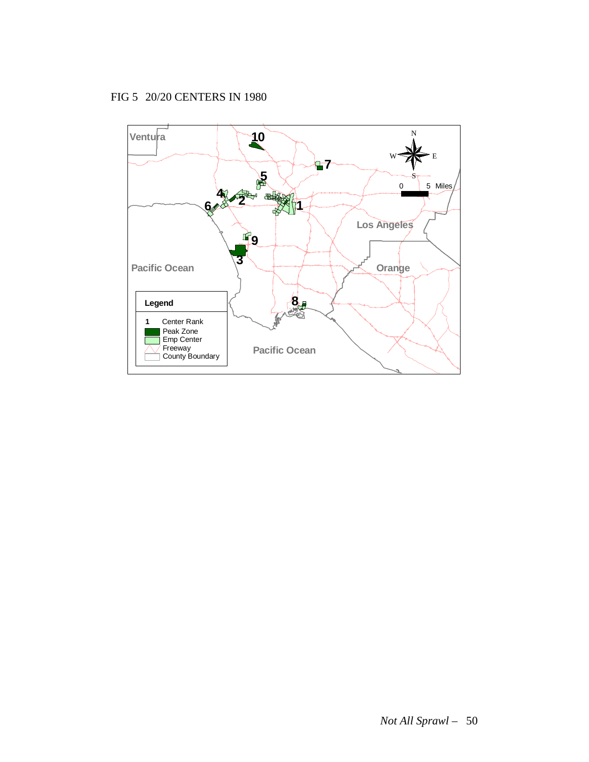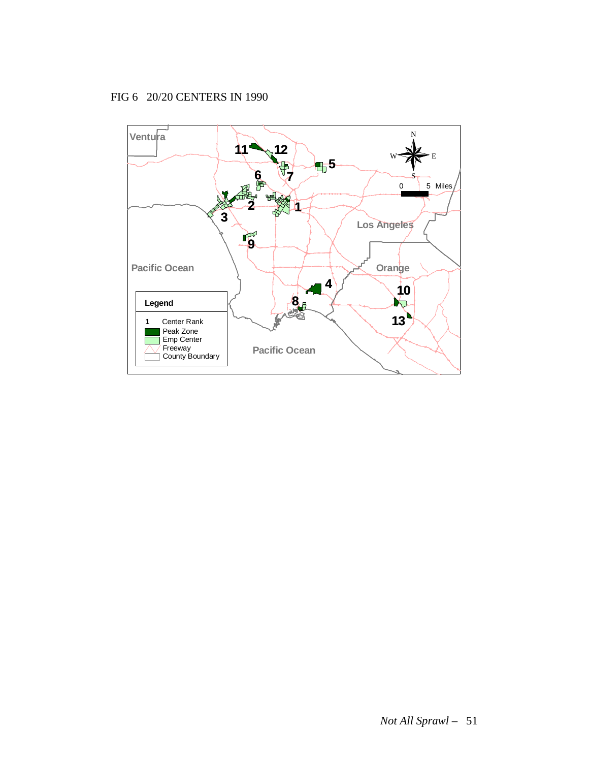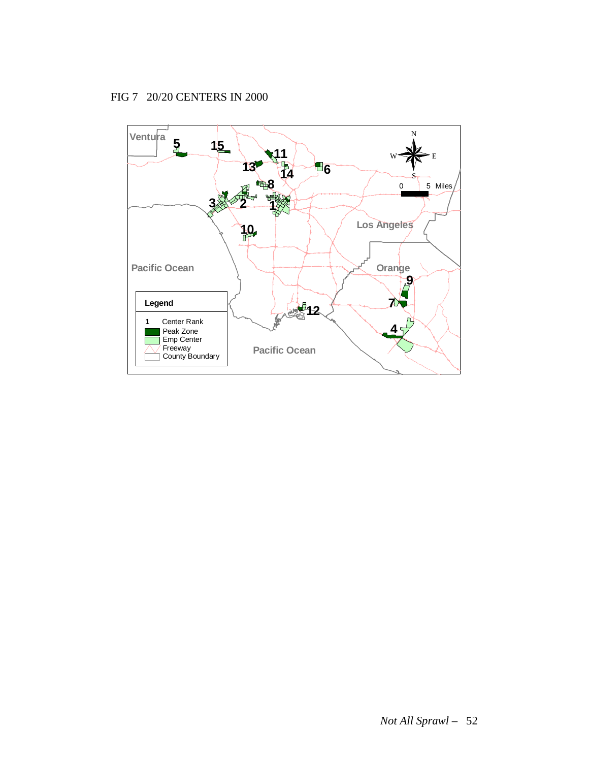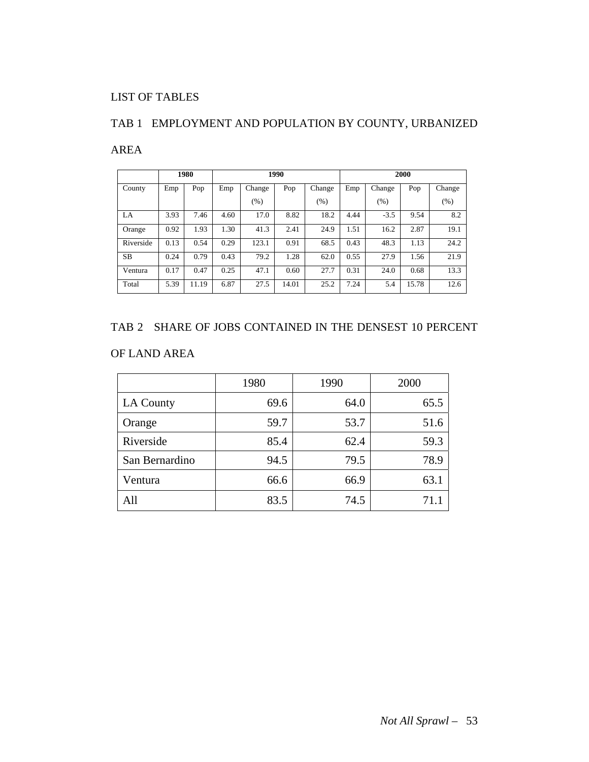### LIST OF TABLES

### TAB 1 EMPLOYMENT AND POPULATION BY COUNTY, URBANIZED

#### AREA

|           |      | 1980  |      |        | 1990  |        | 2000 |        |       |        |
|-----------|------|-------|------|--------|-------|--------|------|--------|-------|--------|
| County    | Emp  | Pop   | Emp  | Change | Pop   | Change | Emp  | Change | Pop   | Change |
|           |      |       |      | (%)    |       | (%)    |      | (% )   |       | (% )   |
| LA        | 3.93 | 7.46  | 4.60 | 17.0   | 8.82  | 18.2   | 4.44 | $-3.5$ | 9.54  | 8.2    |
| Orange    | 0.92 | 1.93  | 1.30 | 41.3   | 2.41  | 24.9   | 1.51 | 16.2   | 2.87  | 19.1   |
| Riverside | 0.13 | 0.54  | 0.29 | 123.1  | 0.91  | 68.5   | 0.43 | 48.3   | 1.13  | 24.2   |
| <b>SB</b> | 0.24 | 0.79  | 0.43 | 79.2   | 1.28  | 62.0   | 0.55 | 27.9   | 1.56  | 21.9   |
| Ventura   | 0.17 | 0.47  | 0.25 | 47.1   | 0.60  | 27.7   | 0.31 | 24.0   | 0.68  | 13.3   |
| Total     | 5.39 | 11.19 | 6.87 | 27.5   | 14.01 | 25.2   | 7.24 | 5.4    | 15.78 | 12.6   |

#### TAB 2 SHARE OF JOBS CONTAINED IN THE DENSEST 10 PERCENT

### OF LAND AREA

|                  | 1980 | 1990 | 2000 |
|------------------|------|------|------|
| <b>LA County</b> | 69.6 | 64.0 | 65.5 |
| Orange           | 59.7 | 53.7 | 51.6 |
| Riverside        | 85.4 | 62.4 | 59.3 |
| San Bernardino   | 94.5 | 79.5 | 78.9 |
| Ventura          | 66.6 | 66.9 | 63.1 |
| All              | 83.5 | 74.5 | 71.1 |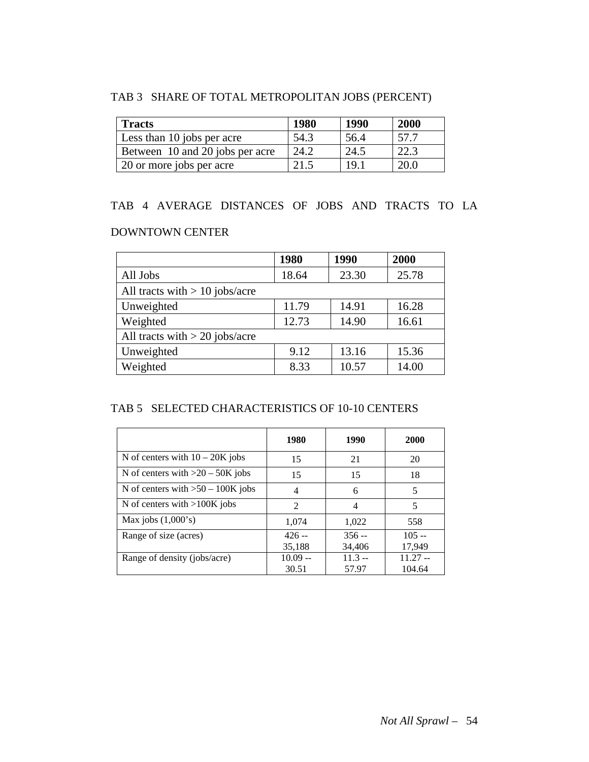### TAB 3 SHARE OF TOTAL METROPOLITAN JOBS (PERCENT)

| <b>Tracts</b>                   | <b>1980</b> | 1990 | <b>2000</b> |
|---------------------------------|-------------|------|-------------|
| Less than 10 jobs per acre      | 54.3        | 56.4 | 57.7        |
| Between 10 and 20 jobs per acre | 24.2        | 24.5 | 22.3        |
| 20 or more jobs per acre        |             | 191  | 20 O        |

### TAB 4 AVERAGE DISTANCES OF JOBS AND TRACTS TO LA

#### DOWNTOWN CENTER

|                                  | 1980  | 1990  | 2000  |
|----------------------------------|-------|-------|-------|
| All Jobs                         | 18.64 | 23.30 | 25.78 |
| All tracts with $> 10$ jobs/acre |       |       |       |
| Unweighted                       | 11.79 | 14.91 | 16.28 |
| Weighted                         | 12.73 | 14.90 | 16.61 |
| All tracts with $>$ 20 jobs/acre |       |       |       |
| Unweighted                       | 9.12  | 13.16 | 15.36 |
| Weighted                         | 8.33  | 10.57 | 14.00 |

### TAB 5 SELECTED CHARACTERISTICS OF 10-10 CENTERS

|                                     | 1980                        | 1990     | 2000      |
|-------------------------------------|-----------------------------|----------|-----------|
| N of centers with $10 - 20K$ jobs   | 15                          | 21       | 20        |
| N of centers with $>20-50K$ jobs    | 15                          | 15       | 18        |
| N of centers with $>50 - 100K$ jobs | 4                           | 6        | 5         |
| N of centers with $>100K$ jobs      | $\mathcal{D}_{\mathcal{L}}$ | 4        | 5         |
| Max jobs $(1,000's)$                | 1,074                       | 1,022    | 558       |
| Range of size (acres)               | $426 -$                     | $356 -$  | $105 -$   |
|                                     | 35,188                      | 34,406   | 17,949    |
| Range of density (jobs/acre)        | $10.09 -$                   | $11.3 -$ | $11.27 -$ |
|                                     | 30.51                       | 57.97    | 104.64    |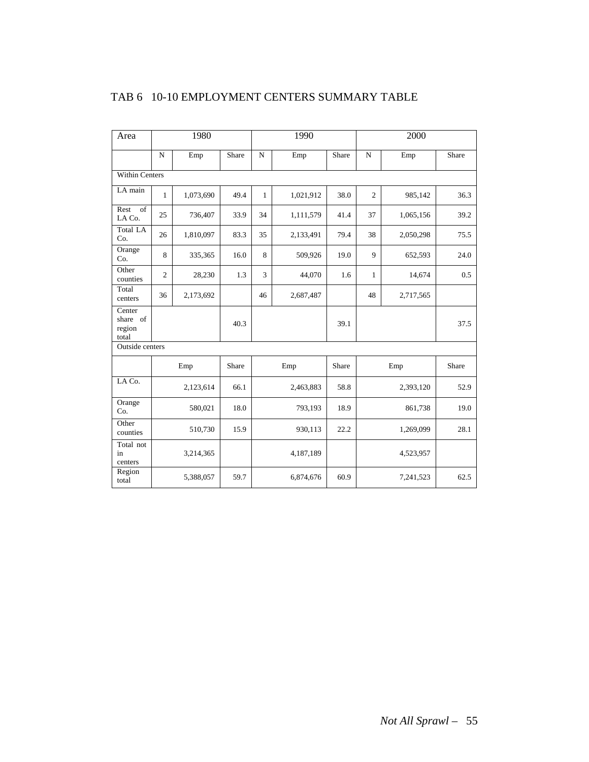| Area                                  | 1980           |           |       |                | 1990      |       |                | 2000      |       |  |
|---------------------------------------|----------------|-----------|-------|----------------|-----------|-------|----------------|-----------|-------|--|
|                                       | $\overline{N}$ | Emp       | Share | $\overline{N}$ | Emp       | Share | ${\bf N}$      | Emp       | Share |  |
| <b>Within Centers</b>                 |                |           |       |                |           |       |                |           |       |  |
| LA main                               | $\mathbf{1}$   | 1,073,690 | 49.4  | $\mathbf{1}$   | 1,021,912 | 38.0  | $\overline{c}$ | 985,142   | 36.3  |  |
| $\overline{of}$<br>Rest<br>LA Co.     | 25             | 736,407   | 33.9  | 34             | 1,111,579 | 41.4  | 37             | 1,065,156 | 39.2  |  |
| <b>Total LA</b><br>Co.                | 26             | 1,810,097 | 83.3  | 35             | 2,133,491 | 79.4  | 38             | 2,050,298 | 75.5  |  |
| Orange<br>Co.                         | 8              | 335,365   | 16.0  | 8              | 509,926   | 19.0  | 9              | 652,593   | 24.0  |  |
| Other<br>counties                     | $\overline{2}$ | 28,230    | 1.3   | 3              | 44,070    | 1.6   | 1              | 14,674    | 0.5   |  |
| Total<br>centers                      | 36             | 2,173,692 |       | 46             | 2,687,487 |       | 48             | 2,717,565 |       |  |
| Center<br>share of<br>region<br>total |                |           | 40.3  |                |           | 39.1  |                |           | 37.5  |  |
| Outside centers                       |                |           |       |                |           |       |                |           |       |  |
|                                       |                | Emp       | Share |                | Emp       | Share |                | Emp       | Share |  |
| LA Co.                                |                | 2,123,614 | 66.1  |                | 2,463,883 | 58.8  |                | 2,393,120 | 52.9  |  |
| Orange<br>Co.                         |                | 580,021   | 18.0  | 793,193        |           | 18.9  | 861,738        |           | 19.0  |  |
| Other<br>counties                     |                | 510,730   | 15.9  | 930,113        |           | 22.2  | 1,269,099      |           | 28.1  |  |
| Total not<br>in<br>centers            |                | 3,214,365 |       |                | 4,187,189 |       |                | 4,523,957 |       |  |
| Region<br>total                       |                | 5,388,057 | 59.7  |                | 6,874,676 | 60.9  | 7,241,523      |           | 62.5  |  |

### TAB 6 10-10 EMPLOYMENT CENTERS SUMMARY TABLE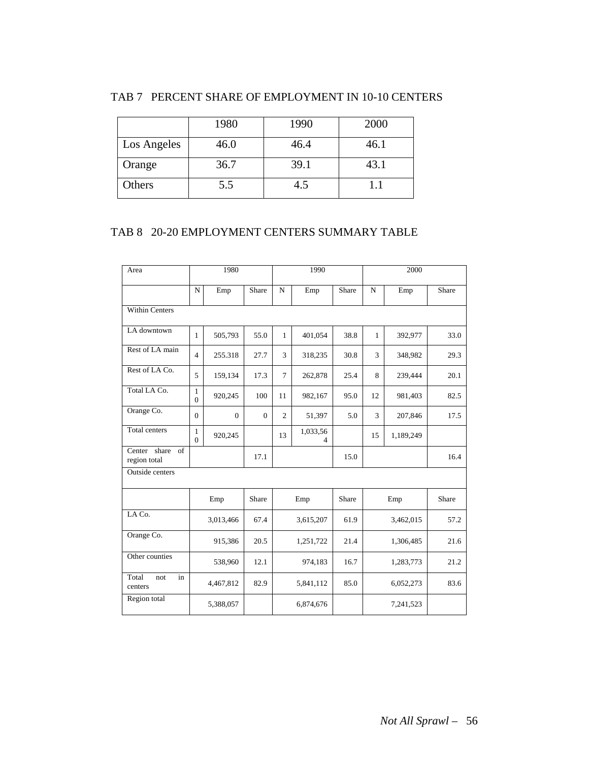|             | 1980 | 1990 | 2000 |
|-------------|------|------|------|
| Los Angeles | 46.0 | 46.4 | 46.1 |
| Orange      | 36.7 | 39.1 | 43.1 |
| Others      | 5.5  | 4.5  |      |

### TAB 7 PERCENT SHARE OF EMPLOYMENT IN 10-10 CENTERS

### TAB 8 20-20 EMPLOYMENT CENTERS SUMMARY TABLE

| Area                               | 1980                     |           |              | 1990           |               |       | 2000         |           |       |
|------------------------------------|--------------------------|-----------|--------------|----------------|---------------|-------|--------------|-----------|-------|
|                                    | N                        | Emp       | Share        | $\mathbf N$    | Emp           | Share | $\mathbf N$  | Emp       | Share |
| Within Centers                     |                          |           |              |                |               |       |              |           |       |
| LA downtown                        | $\mathbf{1}$             | 505,793   | 55.0         | $\mathbf{1}$   | 401,054       | 38.8  | $\mathbf{1}$ | 392,977   | 33.0  |
| Rest of LA main                    | $\overline{4}$           | 255.318   | 27.7         | 3              | 318,235       | 30.8  | 3            | 348,982   | 29.3  |
| Rest of LA Co.                     | 5                        | 159,134   | 17.3         | $\overline{7}$ | 262,878       | 25.4  | 8            | 239,444   | 20.1  |
| Total LA Co.                       | 1<br>$\overline{0}$      | 920,245   | 100          | 11             | 982,167       | 95.0  | 12           | 981,403   | 82.5  |
| Orange Co.                         | $\mathbf{0}$             | $\theta$  | $\mathbf{0}$ | $\overline{c}$ | 51,397        | 5.0   | 3            | 207,846   | 17.5  |
| Total centers                      | $\mathbf{1}$<br>$\Omega$ | 920,245   |              | 13             | 1,033,56<br>4 |       | 15           | 1,189,249 |       |
| Center share<br>of<br>region total |                          |           | 17.1         |                |               | 15.0  |              |           | 16.4  |
| Outside centers                    |                          |           |              |                |               |       |              |           |       |
|                                    |                          | Emp       | Share        |                | Emp           | Share |              | Emp       | Share |
| LA Co.                             |                          | 3,013,466 | 67.4         |                | 3,615,207     | 61.9  |              | 3,462,015 | 57.2  |
| Orange Co.                         |                          | 915,386   | 20.5         |                | 1,251,722     | 21.4  |              | 1,306,485 | 21.6  |
| Other counties                     |                          | 538,960   | 12.1         |                | 974,183       | 16.7  |              | 1,283,773 | 21.2  |
| Total<br>in<br>not<br>centers      |                          | 4,467,812 | 82.9         |                | 5,841,112     | 85.0  |              | 6,052,273 | 83.6  |
| Region total                       |                          | 5,388,057 |              |                | 6,874,676     |       |              | 7,241,523 |       |